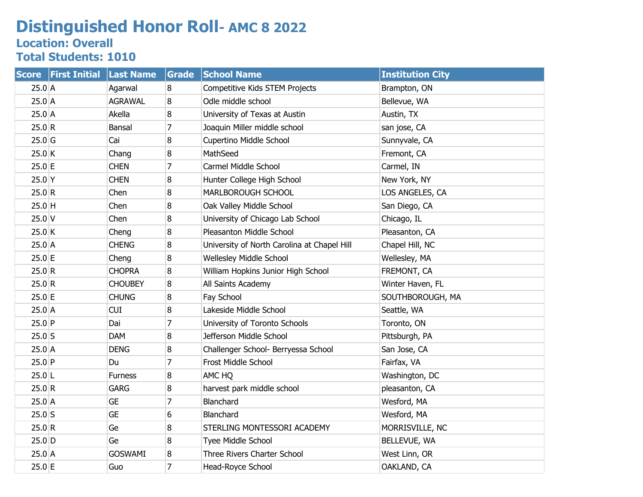## **Distinguished Honor Roll- AMC 8 2022**

## **Location: Overall Total Students: 1010**

| <b>Score</b> | <b>First Initial</b> | <b>Last Name</b> | Grade          | <b>School Name</b>                          | <b>Institution City</b> |
|--------------|----------------------|------------------|----------------|---------------------------------------------|-------------------------|
| 25.0 A       |                      | Agarwal          | 8              | Competitive Kids STEM Projects              | Brampton, ON            |
| $25.0$ A     |                      | <b>AGRAWAL</b>   | 8              | Odle middle school                          | Bellevue, WA            |
| $25.0$ A     |                      | Akella           | 8              | University of Texas at Austin               | Austin, TX              |
| 25.0 R       |                      | Bansal           | 7              | Joaquin Miller middle school                | san jose, CA            |
| $25.0$ G     |                      | Cai              | 8              | Cupertino Middle School                     | Sunnyvale, CA           |
| 25.0 K       |                      | Chang            | 8              | MathSeed                                    | Fremont, CA             |
| $25.0$ E     |                      | <b>CHEN</b>      | $\overline{7}$ | Carmel Middle School                        | Carmel, IN              |
| $25.0$ Y     |                      | <b>CHEN</b>      | 8              | Hunter College High School                  | New York, NY            |
| 25.0 R       |                      | Chen             | 8              | MARLBOROUGH SCHOOL                          | LOS ANGELES, CA         |
| $25.0$ H     |                      | Chen             | 8              | Oak Valley Middle School                    | San Diego, CA           |
| $25.0$ V     |                      | Chen             | 8              | University of Chicago Lab School            | Chicago, IL             |
| 25.0 K       |                      | Cheng            | 8              | Pleasanton Middle School                    | Pleasanton, CA          |
| $25.0$ A     |                      | <b>CHENG</b>     | 8              | University of North Carolina at Chapel Hill | Chapel Hill, NC         |
| 25.0 E       |                      | Cheng            | 8              | <b>Wellesley Middle School</b>              | Wellesley, MA           |
| 25.0 R       |                      | <b>CHOPRA</b>    | 8              | William Hopkins Junior High School          | FREMONT, CA             |
| 25.0 R       |                      | <b>CHOUBEY</b>   | 8              | All Saints Academy                          | Winter Haven, FL        |
| 25.0 E       |                      | <b>CHUNG</b>     | 8              | Fay School                                  | SOUTHBOROUGH, MA        |
| $25.0$ A     |                      | <b>CUI</b>       | 8              | Lakeside Middle School                      | Seattle, WA             |
| $25.0$ P     |                      | Dai              | $\overline{7}$ | University of Toronto Schools               | Toronto, ON             |
| $25.0$ S     |                      | <b>DAM</b>       | 8              | Jefferson Middle School                     | Pittsburgh, PA          |
| $25.0$ A     |                      | <b>DENG</b>      | 8              | Challenger School- Berryessa School         | San Jose, CA            |
| $25.0$ P     |                      | Du               | $\overline{7}$ | Frost Middle School                         | Fairfax, VA             |
| $25.0$ L     |                      | <b>Furness</b>   | 8              | AMC HQ                                      | Washington, DC          |
| 25.0 R       |                      | <b>GARG</b>      | 8              | harvest park middle school                  | pleasanton, CA          |
| 25.0 A       |                      | <b>GE</b>        | $\overline{7}$ | Blanchard                                   | Wesford, MA             |
| $25.0$ S     |                      | <b>GE</b>        | 6              | Blanchard                                   | Wesford, MA             |
| 25.0 R       |                      | Ge               | 8              | STERLING MONTESSORI ACADEMY                 | MORRISVILLE, NC         |
| $25.0$ D     |                      | Ge               | 8              | Tyee Middle School                          | BELLEVUE, WA            |
| 25.0 A       |                      | <b>GOSWAMI</b>   | 8              | Three Rivers Charter School                 | West Linn, OR           |
| $25.0$ E     |                      | Guo              | $\overline{7}$ | Head-Royce School                           | OAKLAND, CA             |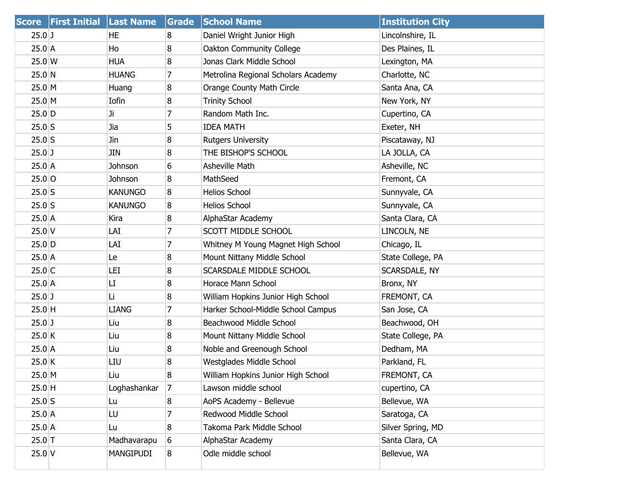| <b>Score</b> | <b>First Initial</b> | <b>Last Name</b> | Grade | <b>School Name</b>                  | <b>Institution City</b> |
|--------------|----------------------|------------------|-------|-------------------------------------|-------------------------|
| $25.0$ J     |                      | HE               | 8     | Daniel Wright Junior High           | Lincolnshire, IL        |
| $25.0$ A     |                      | Ho               | 8     | Oakton Community College            | Des Plaines, IL         |
| 25.0 W       |                      | <b>HUA</b>       | 8     | Jonas Clark Middle School           | Lexington, MA           |
| 25.0 N       |                      | <b>HUANG</b>     | 7     | Metrolina Regional Scholars Academy | Charlotte, NC           |
| 25.0 M       |                      | Huang            | 8     | Orange County Math Circle           | Santa Ana, CA           |
| 25.0 M       |                      | Iofin            | 8     | <b>Trinity School</b>               | New York, NY            |
| $25.0$ D     |                      | Ji.              | 7     | Random Math Inc.                    | Cupertino, CA           |
| $25.0$ S     |                      | Jia              | 5     | <b>IDEA MATH</b>                    | Exeter, NH              |
| $25.0$ S     |                      | Jin              | 8     | <b>Rutgers University</b>           | Piscataway, NJ          |
| $25.0$ J     |                      | JIN              | 8     | THE BISHOP'S SCHOOL                 | LA JOLLA, CA            |
| 25.0 A       |                      | Johnson          | 6     | Asheville Math                      | Asheville, NC           |
| $25.0$ O     |                      | Johnson          | 8     | MathSeed                            | Fremont, CA             |
| $25.0$ S     |                      | <b>KANUNGO</b>   | 8     | <b>Helios School</b>                | Sunnyvale, CA           |
| $25.0$ S     |                      | <b>KANUNGO</b>   | 8     | <b>Helios School</b>                | Sunnyvale, CA           |
| $25.0$ A     |                      | Kira             | 8     | AlphaStar Academy                   | Santa Clara, CA         |
| $25.0$ V     |                      | LAI              | 7     | SCOTT MIDDLE SCHOOL                 | LINCOLN, NE             |
| $25.0$ D     |                      | LAI              | 7     | Whitney M Young Magnet High School  | Chicago, IL             |
| $25.0$ A     |                      | Le               | 8     | Mount Nittany Middle School         | State College, PA       |
| $25.0$ C     |                      | LEI              | 8     | SCARSDALE MIDDLE SCHOOL             | SCARSDALE, NY           |
| $25.0$ A     |                      | LI               | 8     | Horace Mann School                  | Bronx, NY               |
| $25.0$ J     |                      | Li               | 8     | William Hopkins Junior High School  | FREMONT, CA             |
| $25.0$ H     |                      | <b>LIANG</b>     | 7     | Harker School-Middle School Campus  | San Jose, CA            |
| $25.0$ J     |                      | Liu              | 8     | Beachwood Middle School             | Beachwood, OH           |
| 25.0 K       |                      | Liu              | 8     | Mount Nittany Middle School         | State College, PA       |
| $25.0$ A     |                      | Liu              | 8     | Noble and Greenough School          | Dedham, MA              |
| $25.0$ K     |                      | LIU              | 8     | Westglades Middle School            | Parkland, FL            |
| 25.0 M       |                      | Liu              | 8     | William Hopkins Junior High School  | FREMONT, CA             |
| $25.0$ H     |                      | Loghashankar     | 17    | Lawson middle school                | cupertino, CA           |
| $25.0$ S     |                      | Lu               | 8     | AoPS Academy - Bellevue             | Bellevue, WA            |
| $25.0$ A     |                      | LU               | 7     | Redwood Middle School               | Saratoga, CA            |
| $25.0$ A     |                      | Lu               | 8     | Takoma Park Middle School           | Silver Spring, MD       |
| $25.0$ T     |                      | Madhavarapu      | 6     | AlphaStar Academy                   | Santa Clara, CA         |
| $25.0$ V     |                      | MANGIPUDI        | 8     | Odle middle school                  | Bellevue, WA            |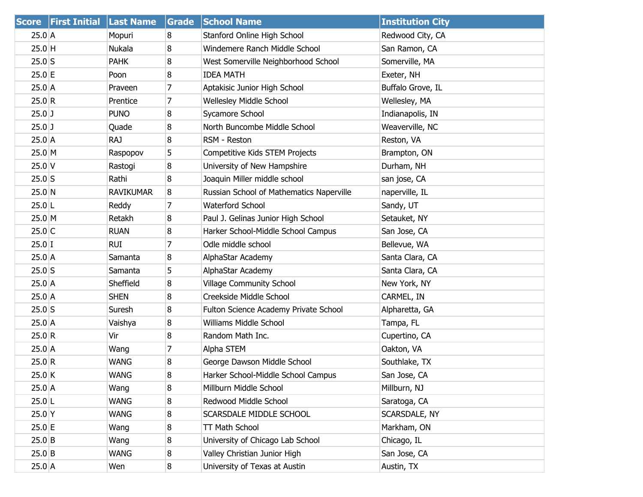| <b>Score</b> | <b>First Initial</b> | <b>Last Name</b> | Grade | <b>School Name</b>                       | <b>Institution City</b> |
|--------------|----------------------|------------------|-------|------------------------------------------|-------------------------|
| $25.0$ A     |                      | Mopuri           | 8     | Stanford Online High School              | Redwood City, CA        |
| $25.0$ H     |                      | Nukala           | 8     | Windemere Ranch Middle School            | San Ramon, CA           |
| $25.0$ S     |                      | <b>PAHK</b>      | 8     | West Somerville Neighborhood School      | Somerville, MA          |
| 25.0 E       |                      | Poon             | 8     | <b>IDEA MATH</b>                         | Exeter, NH              |
| $25.0$ A     |                      | Praveen          | 7     | Aptakisic Junior High School             | Buffalo Grove, IL       |
| 25.0 R       |                      | Prentice         | 7     | Wellesley Middle School                  | Wellesley, MA           |
| $25.0$ J     |                      | <b>PUNO</b>      | 8     | Sycamore School                          | Indianapolis, IN        |
| $25.0$ J     |                      | Quade            | 8     | North Buncombe Middle School             | Weaverville, NC         |
| 25.0 A       |                      | <b>RAJ</b>       | 8     | RSM - Reston                             | Reston, VA              |
| 25.0 M       |                      | Raspopov         | 5     | Competitive Kids STEM Projects           | Brampton, ON            |
| $25.0$ V     |                      | Rastogi          | 8     | University of New Hampshire              | Durham, NH              |
| $25.0$ S     |                      | Rathi            | 8     | Joaquin Miller middle school             | san jose, CA            |
| 25.0 N       |                      | <b>RAVIKUMAR</b> | 8     | Russian School of Mathematics Naperville | naperville, IL          |
| $25.0$ L     |                      | Reddy            | 7     | Waterford School                         | Sandy, UT               |
| 25.0 M       |                      | Retakh           | 8     | Paul J. Gelinas Junior High School       | Setauket, NY            |
| $25.0$ C     |                      | <b>RUAN</b>      | 8     | Harker School-Middle School Campus       | San Jose, CA            |
| $25.0$ I     |                      | <b>RUI</b>       | 7     | Odle middle school                       | Bellevue, WA            |
| 25.0 A       |                      | Samanta          | 8     | AlphaStar Academy                        | Santa Clara, CA         |
| $25.0$ S     |                      | Samanta          | 5     | AlphaStar Academy                        | Santa Clara, CA         |
| $25.0$ A     |                      | Sheffield        | 8     | <b>Village Community School</b>          | New York, NY            |
| 25.0 A       |                      | <b>SHEN</b>      | 8     | Creekside Middle School                  | CARMEL, IN              |
| $25.0$ S     |                      | Suresh           | 8     | Fulton Science Academy Private School    | Alpharetta, GA          |
| $25.0$ A     |                      | Vaishya          | 8     | Williams Middle School                   | Tampa, FL               |
| 25.0 R       |                      | Vir              | 8     | Random Math Inc.                         | Cupertino, CA           |
| 25.0 A       |                      | Wang             | 7     | Alpha STEM                               | Oakton, VA              |
| 25.0 R       |                      | <b>WANG</b>      | 8     | George Dawson Middle School              | Southlake, TX           |
| $25.0$ K     |                      | <b>WANG</b>      | 8     | Harker School-Middle School Campus       | San Jose, CA            |
| 25.0 A       |                      | Wang             | 8     | Millburn Middle School                   | Millburn, NJ            |
| $25.0$ L     |                      | <b>WANG</b>      | 8     | Redwood Middle School                    | Saratoga, CA            |
| 25.0 Y       |                      | <b>WANG</b>      | 8     | SCARSDALE MIDDLE SCHOOL                  | SCARSDALE, NY           |
| $25.0$ E     |                      | Wang             | 8     | TT Math School                           | Markham, ON             |
| $25.0$ B     |                      | Wang             | 8     | University of Chicago Lab School         | Chicago, IL             |
| $25.0$ B     |                      | <b>WANG</b>      | 8     | Valley Christian Junior High             | San Jose, CA            |
| $25.0$ A     |                      | Wen              | 8     | University of Texas at Austin            | Austin, TX              |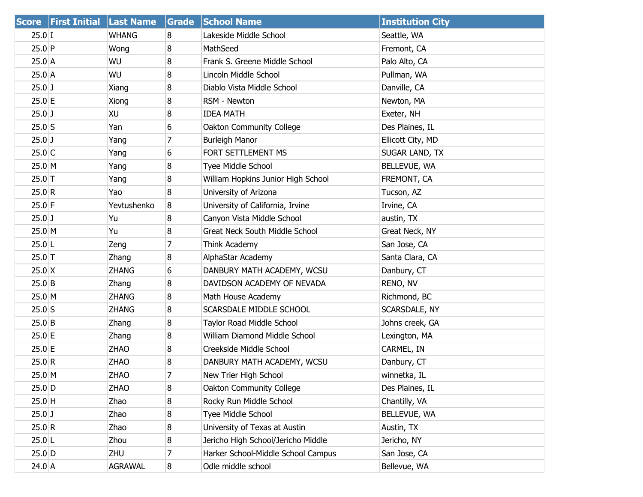|           | Score First Initial Last Name |                | Grade          | <b>School Name</b>                    | <b>Institution City</b> |
|-----------|-------------------------------|----------------|----------------|---------------------------------------|-------------------------|
| $25.0$ I  |                               | WHANG          | 8              | Lakeside Middle School                | Seattle, WA             |
| 25.0 P    |                               | Wong           | 8              | MathSeed                              | Fremont, CA             |
| $25.0$ A  |                               | WU             | 8              | Frank S. Greene Middle School         | Palo Alto, CA           |
| $25.0$ A  |                               | WU             | 8              | Lincoln Middle School                 | Pullman, WA             |
| $25.0$ J  |                               | Xiang          | 8              | Diablo Vista Middle School            | Danville, CA            |
| $25.0$ E  |                               | Xiong          | 8              | RSM - Newton                          | Newton, MA              |
| $25.0$ J  |                               | XU             | 8              | <b>IDEA MATH</b>                      | Exeter, NH              |
| $25.0$ S  |                               | Yan            | 6              | Oakton Community College              | Des Plaines, IL         |
| $25.0$ J  |                               | Yang           | 7              | <b>Burleigh Manor</b>                 | Ellicott City, MD       |
| $25.0$ C  |                               | Yang           | 6              | FORT SETTLEMENT MS                    | SUGAR LAND, TX          |
| 25.0 M    |                               | Yang           | 8              | Tyee Middle School                    | BELLEVUE, WA            |
| $25.0$ T  |                               | Yang           | 8              | William Hopkins Junior High School    | FREMONT, CA             |
| 25.0 R    |                               | Yao            | 8              | University of Arizona                 | Tucson, AZ              |
| $25.0$ F  |                               | Yevtushenko    | 8              | University of California, Irvine      | Irvine, CA              |
| $25.0$ J  |                               | Yu             | 8              | Canyon Vista Middle School            | austin, TX              |
| 25.0 M    |                               | Yu             | 8              | <b>Great Neck South Middle School</b> | Great Neck, NY          |
| $25.0$  L |                               | Zeng           | 7              | Think Academy                         | San Jose, CA            |
| $25.0$ T  |                               | Zhang          | 8              | AlphaStar Academy                     | Santa Clara, CA         |
| $25.0$ X  |                               | <b>ZHANG</b>   | 6              | DANBURY MATH ACADEMY, WCSU            | Danbury, CT             |
| $25.0$ B  |                               | Zhang          | 8              | DAVIDSON ACADEMY OF NEVADA            | RENO, NV                |
| 25.0 M    |                               | <b>ZHANG</b>   | 8              | Math House Academy                    | Richmond, BC            |
| $25.0$ S  |                               | <b>ZHANG</b>   | 8              | SCARSDALE MIDDLE SCHOOL               | SCARSDALE, NY           |
| $25.0$ B  |                               | Zhang          | 8              | Taylor Road Middle School             | Johns creek, GA         |
| $25.0$ E  |                               | Zhang          | 8              | William Diamond Middle School         | Lexington, MA           |
| $25.0$ E  |                               | <b>ZHAO</b>    | 8              | Creekside Middle School               | CARMEL, IN              |
| 25.0 R    |                               | <b>ZHAO</b>    | 8              | DANBURY MATH ACADEMY, WCSU            | Danbury, CT             |
| $25.0$ M  |                               | <b>ZHAO</b>    | $\overline{7}$ | New Trier High School                 | winnetka, IL            |
| $25.0$ D  |                               | ZHAO           | 8              | Oakton Community College              | Des Plaines, IL         |
| $25.0$ H  |                               | Zhao           | 8              | Rocky Run Middle School               | Chantilly, VA           |
| $25.0$ J  |                               | Zhao           | 8              | Tyee Middle School                    | BELLEVUE, WA            |
| 25.0 R    |                               | Zhao           | 8              | University of Texas at Austin         | Austin, TX              |
| $25.0$  L |                               | Zhou           | 8              | Jericho High School/Jericho Middle    | Jericho, NY             |
| $25.0$ D  |                               | ZHU            | 7              | Harker School-Middle School Campus    | San Jose, CA            |
| $24.0$ A  |                               | <b>AGRAWAL</b> | 8              | Odle middle school                    | Bellevue, WA            |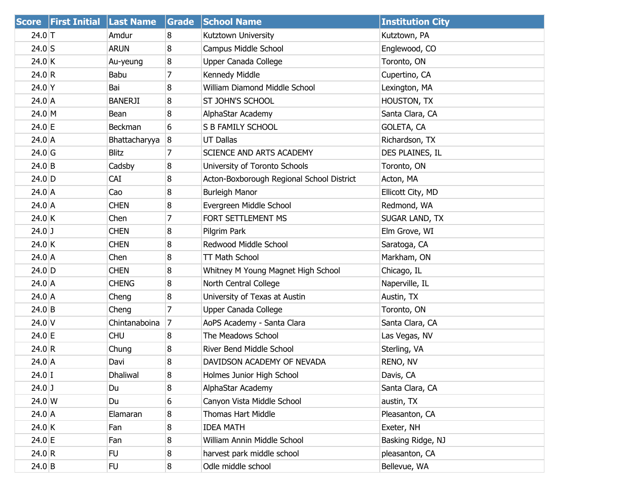| <b>Score</b> | <b>First Initial Last Name</b> |                 | Grade          | <b>School Name</b>                        | <b>Institution City</b> |
|--------------|--------------------------------|-----------------|----------------|-------------------------------------------|-------------------------|
| 24.0 T       |                                | Amdur           | 8              | Kutztown University                       | Kutztown, PA            |
| $24.0$ S     |                                | <b>ARUN</b>     | 8              | Campus Middle School                      | Englewood, CO           |
| 24.0 K       |                                | Au-yeung        | 8              | Upper Canada College                      | Toronto, ON             |
| 24.0 R       |                                | Babu            | 7              | Kennedy Middle                            | Cupertino, CA           |
| 24.0 Y       |                                | Bai             | 8              | William Diamond Middle School             | Lexington, MA           |
| 24.0 A       |                                | <b>BANERJI</b>  | 8              | ST JOHN'S SCHOOL                          | HOUSTON, TX             |
| $24.0 \, M$  |                                | Bean            | 8              | AlphaStar Academy                         | Santa Clara, CA         |
| 24.0 E       |                                | Beckman         | 6              | S B FAMILY SCHOOL                         | <b>GOLETA, CA</b>       |
| 24.0 A       |                                | Bhattacharyya   | 8              | <b>UT Dallas</b>                          | Richardson, TX          |
| $24.0$ G     |                                | <b>Blitz</b>    | 7              | SCIENCE AND ARTS ACADEMY                  | DES PLAINES, IL         |
| $24.0$ B     |                                | Cadsby          | 8              | University of Toronto Schools             | Toronto, ON             |
| $24.0$ D     |                                | <b>CAI</b>      | 8              | Acton-Boxborough Regional School District | Acton, MA               |
| $24.0$ A     |                                | Cao             | 8              | <b>Burleigh Manor</b>                     | Ellicott City, MD       |
| $24.0$ A     |                                | <b>CHEN</b>     | 8              | Evergreen Middle School                   | Redmond, WA             |
| 24.0 K       |                                | Chen            | 7              | FORT SETTLEMENT MS                        | SUGAR LAND, TX          |
| $24.0$ J     |                                | <b>CHEN</b>     | 8              | Pilgrim Park                              | Elm Grove, WI           |
| 24.0 K       |                                | <b>CHEN</b>     | 8              | Redwood Middle School                     | Saratoga, CA            |
| 24.0 A       |                                | Chen            | 8              | TT Math School                            | Markham, ON             |
| $24.0$ D     |                                | <b>CHEN</b>     | 8              | Whitney M Young Magnet High School        | Chicago, IL             |
| $24.0$ A     |                                | <b>CHENG</b>    | 8              | North Central College                     | Naperville, IL          |
| 24.0 A       |                                | Cheng           | 8              | University of Texas at Austin             | Austin, TX              |
| $24.0$ B     |                                | Cheng           | $\overline{7}$ | Upper Canada College                      | Toronto, ON             |
| $24.0$ V     |                                | Chintanaboina   | 7              | AoPS Academy - Santa Clara                | Santa Clara, CA         |
| 24.0 E       |                                | <b>CHU</b>      | 8              | The Meadows School                        | Las Vegas, NV           |
| 24.0 R       |                                | Chung           | 8              | River Bend Middle School                  | Sterling, VA            |
| $24.0$ A     |                                | Davi            | 8              | DAVIDSON ACADEMY OF NEVADA                | RENO, NV                |
| $24.0$ I     |                                | <b>Dhaliwal</b> | 8              | Holmes Junior High School                 | Davis, CA               |
| $24.0$ J     |                                | Du              | 8              | AlphaStar Academy                         | Santa Clara, CA         |
| 24.0 W       |                                | Du              | 6              | Canyon Vista Middle School                | austin, TX              |
| 24.0 A       |                                | Elamaran        | 8              | Thomas Hart Middle                        | Pleasanton, CA          |
| 24.0 K       |                                | Fan             | 8              | <b>IDEA MATH</b>                          | Exeter, NH              |
| 24.0 E       |                                | Fan             | 8              | William Annin Middle School               | Basking Ridge, NJ       |
| 24.0 R       |                                | FU.             | 8              | harvest park middle school                | pleasanton, CA          |
| $24.0$ B     |                                | <b>FU</b>       | 8 <sup>°</sup> | Odle middle school                        | Bellevue, WA            |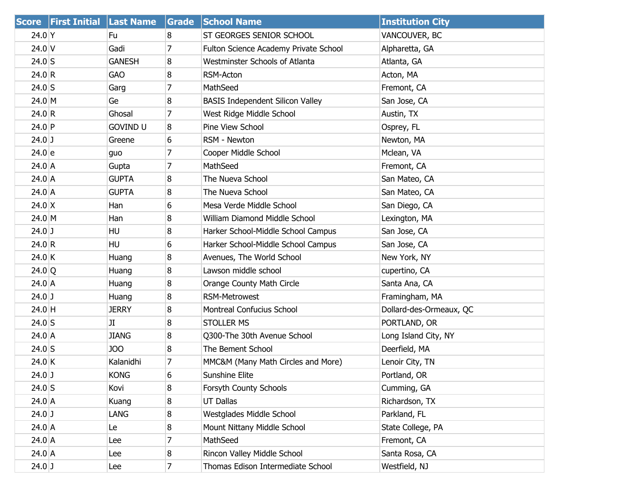| <b>Score</b>  | <b>First Initial Last Name</b> |                 | Grade          | <b>School Name</b>                      | <b>Institution City</b> |
|---------------|--------------------------------|-----------------|----------------|-----------------------------------------|-------------------------|
| $24.0$ Y      |                                | Fu              | 8              | ST GEORGES SENIOR SCHOOL                | VANCOUVER, BC           |
| $24.0$ V      |                                | Gadi            | 7              | Fulton Science Academy Private School   | Alpharetta, GA          |
| $24.0$ S      |                                | <b>GANESH</b>   | 8              | Westminster Schools of Atlanta          | Atlanta, GA             |
| 24.0 R        |                                | <b>GAO</b>      | 8              | RSM-Acton                               | Acton, MA               |
| $24.0$ S      |                                | Garg            | 7              | MathSeed                                | Fremont, CA             |
| 24.0 M        |                                | Ge              | 8              | <b>BASIS Independent Silicon Valley</b> | San Jose, CA            |
| 24.0 R        |                                | Ghosal          | 7              | West Ridge Middle School                | Austin, TX              |
| $24.0$ P      |                                | <b>GOVIND U</b> | 8              | Pine View School                        | Osprey, FL              |
| $24.0$ J      |                                | Greene          | 6              | RSM - Newton                            | Newton, MA              |
| 24.0 e        |                                | guo             | $\overline{7}$ | Cooper Middle School                    | Mclean, VA              |
| $24.0$ A      |                                | Gupta           | 7              | MathSeed                                | Fremont, CA             |
| $24.0$ A      |                                | <b>GUPTA</b>    | 8              | The Nueva School                        | San Mateo, CA           |
| $24.0$ A      |                                | <b>GUPTA</b>    | 8              | The Nueva School                        | San Mateo, CA           |
| $24.0 \times$ |                                | Han             | 6              | Mesa Verde Middle School                | San Diego, CA           |
| 24.0 M        |                                | Han             | 8              | William Diamond Middle School           | Lexington, MA           |
| $24.0$ J      |                                | HU              | 8              | Harker School-Middle School Campus      | San Jose, CA            |
| 24.0 R        |                                | <b>HU</b>       | 6              | Harker School-Middle School Campus      | San Jose, CA            |
| $24.0$ K      |                                | Huang           | 8              | Avenues, The World School               | New York, NY            |
| 24.0 Q        |                                | Huang           | 8              | Lawson middle school                    | cupertino, CA           |
| $24.0$ A      |                                | Huang           | 8              | Orange County Math Circle               | Santa Ana, CA           |
| $24.0$ J      |                                | Huang           | 8              | <b>RSM-Metrowest</b>                    | Framingham, MA          |
| $24.0$ H      |                                | <b>JERRY</b>    | 8              | Montreal Confucius School               | Dollard-des-Ormeaux, QC |
| $24.0$ S      |                                | JI              | 8              | <b>STOLLER MS</b>                       | PORTLAND, OR            |
| $24.0$ A      |                                | <b>JIANG</b>    | 8              | Q300-The 30th Avenue School             | Long Island City, NY    |
| $24.0$ S      |                                | JOO             | 8              | The Bement School                       | Deerfield, MA           |
| $24.0$ K      |                                | Kalanidhi       | 7              | MMC&M (Many Math Circles and More)      | Lenoir City, TN         |
| $24.0$ J      |                                | <b>KONG</b>     | 6              | Sunshine Elite                          | Portland, OR            |
| $24.0$ S      |                                | Kovi            | 8              | Forsyth County Schools                  | Cumming, GA             |
| $24.0$ A      |                                | Kuang           | 8              | <b>UT Dallas</b>                        | Richardson, TX          |
| $24.0$ J      |                                | LANG            | 8              | Westglades Middle School                | Parkland, FL            |
| $24.0$ A      |                                | Le              | 8              | Mount Nittany Middle School             | State College, PA       |
| $24.0$ A      |                                | Lee             | 7              | MathSeed                                | Fremont, CA             |
| $24.0$ A      |                                | Lee             | 8              | Rincon Valley Middle School             | Santa Rosa, CA          |
| $24.0$ J      |                                | Lee             | $\overline{7}$ | Thomas Edison Intermediate School       | Westfield, NJ           |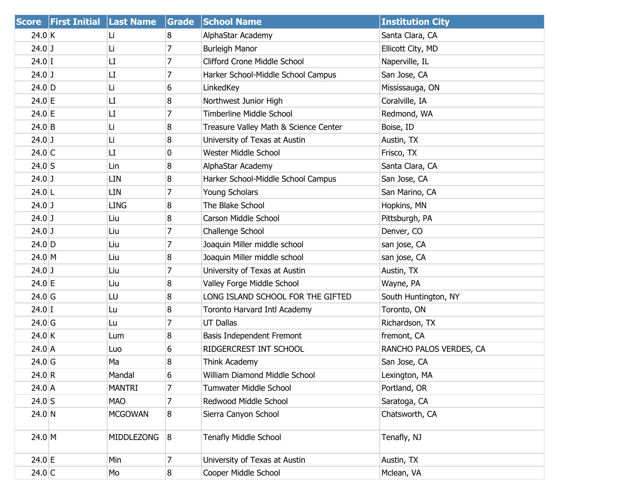|                   | Score First Initial Last Name |                   | Grade          | <b>School Name</b>                    | <b>Institution City</b> |
|-------------------|-------------------------------|-------------------|----------------|---------------------------------------|-------------------------|
| 24.0 K            |                               | Li                | 8              | AlphaStar Academy                     | Santa Clara, CA         |
| $24.0$ J          |                               | Li                | 7              | <b>Burleigh Manor</b>                 | Ellicott City, MD       |
| $24.0$ I          |                               | LI                | 7              | Clifford Crone Middle School          | Naperville, IL          |
| $24.0$ J          |                               | LI                | 7              | Harker School-Middle School Campus    | San Jose, CA            |
| 24.0 D            |                               | Li                | 6              | LinkedKey                             | Mississauga, ON         |
| $24.0 \, E$       |                               | LI                | 8              | Northwest Junior High                 | Coralville, IA          |
| $24.0$ E          |                               | LI                | 7              | <b>Timberline Middle School</b>       | Redmond, WA             |
| $24.0$ B          |                               | Li                | 8              | Treasure Valley Math & Science Center | Boise, ID               |
| $24.0$ J          |                               | Li                | 8              | University of Texas at Austin         | Austin, TX              |
| 24.0 C            |                               | LI                | 0              | Wester Middle School                  | Frisco, TX              |
| $24.0$ S          |                               | Lin               | 8              | AlphaStar Academy                     | Santa Clara, CA         |
| $24.0$ J          |                               | LIN               | 8              | Harker School-Middle School Campus    | San Jose, CA            |
| $24.0$ L          |                               | LIN               | 7              | Young Scholars                        | San Marino, CA          |
| $24.0$ J          |                               | <b>LING</b>       | 8              | The Blake School                      | Hopkins, MN             |
| $24.0$ J          |                               | Liu               | 8              | Carson Middle School                  | Pittsburgh, PA          |
| $24.0$ J          |                               | Liu               | 7              | Challenge School                      | Denver, CO              |
| 24.0 D            |                               | Liu               | 7              | Joaquin Miller middle school          | san jose, CA            |
| 24.0 M            |                               | Liu               | 8              | Joaquin Miller middle school          | san jose, CA            |
| $24.0$ J          |                               | Liu               | 7              | University of Texas at Austin         | Austin, TX              |
| $24.0 \, E$       |                               | Liu               | 8              | Valley Forge Middle School            | Wayne, PA               |
| 24.0 <sub>6</sub> |                               | LU                | 8              | LONG ISLAND SCHOOL FOR THE GIFTED     | South Huntington, NY    |
| $24.0$ I          |                               | Lu                | 8              | Toronto Harvard Intl Academy          | Toronto, ON             |
| 24.0 <sub>6</sub> |                               | Lu                | 7              | <b>UT Dallas</b>                      | Richardson, TX          |
| 24.0 K            |                               | Lum               | 8              | Basis Independent Fremont             | fremont, CA             |
| 24.0 A            |                               | Luo               | 6              | RIDGERCREST INT SCHOOL                | RANCHO PALOS VERDES, CA |
| 24.0 <sub>G</sub> |                               | Ma                | 8              | Think Academy                         | San Jose, CA            |
| 24.0 R            |                               | Mandal            | 6              | William Diamond Middle School         | Lexington, MA           |
| $24.0$ A          |                               | <b>MANTRI</b>     | 7              | Tumwater Middle School                | Portland, OR            |
| $24.0$ S          |                               | <b>MAO</b>        | 7              | Redwood Middle School                 | Saratoga, CA            |
| 24.0 N            |                               | <b>MCGOWAN</b>    | 8              | Sierra Canyon School                  | Chatsworth, CA          |
| 24.0 M            |                               | <b>MIDDLEZONG</b> | 8              | Tenafly Middle School                 | Tenafly, NJ             |
| $24.0$ E          |                               | Min               | $\overline{7}$ | University of Texas at Austin         | Austin, TX              |
| $24.0$ C          |                               | Mo                | 8              | Cooper Middle School                  | Mclean, VA              |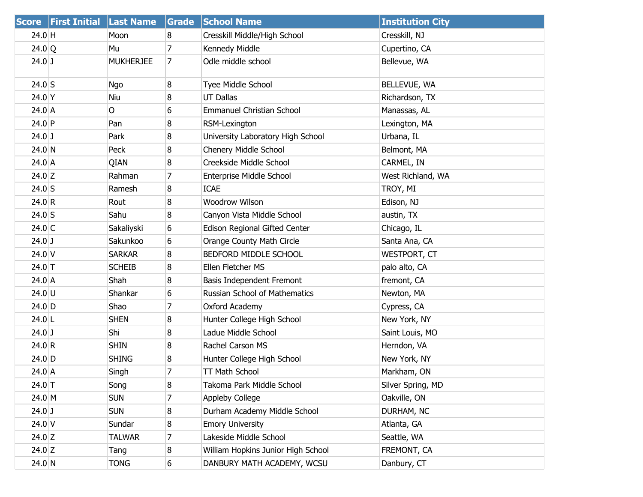| <b>Score</b> | <b>First Initial</b> | <b>Last Name</b> | <b>Grade</b>   | <b>School Name</b>                   | <b>Institution City</b> |
|--------------|----------------------|------------------|----------------|--------------------------------------|-------------------------|
| 24.0 H       |                      | Moon             | 8              | Cresskill Middle/High School         | Cresskill, NJ           |
| 24.0 Q       |                      | Mu               | $\overline{7}$ | Kennedy Middle                       | Cupertino, CA           |
| $24.0$ J     |                      | <b>MUKHERJEE</b> | 7              | Odle middle school                   | Bellevue, WA            |
| $24.0$ S     |                      | <b>Ngo</b>       | 8              | Tyee Middle School                   | BELLEVUE, WA            |
| $24.0$ Y     |                      | Niu              | 8              | <b>UT Dallas</b>                     | Richardson, TX          |
| 24.0 A       |                      | O                | 6              | <b>Emmanuel Christian School</b>     | Manassas, AL            |
| $24.0$ P     |                      | Pan              | 8              | RSM-Lexington                        | Lexington, MA           |
| $24.0$ J     |                      | Park             | 8              | University Laboratory High School    | Urbana, IL              |
| $24.0$ N     |                      | Peck             | 8              | Chenery Middle School                | Belmont, MA             |
| $24.0$ A     |                      | QIAN             | 8              | Creekside Middle School              | CARMEL, IN              |
| $24.0$ Z     |                      | Rahman           | 7              | Enterprise Middle School             | West Richland, WA       |
| $24.0$ S     |                      | Ramesh           | 8              | <b>ICAE</b>                          | TROY, MI                |
| 24.0 R       |                      | Rout             | 8              | Woodrow Wilson                       | Edison, NJ              |
| $24.0$ S     |                      | Sahu             | 8              | Canyon Vista Middle School           | austin, TX              |
| $24.0$ C     |                      | Sakaliyski       | 6              | Edison Regional Gifted Center        | Chicago, IL             |
| $24.0$ J     |                      | Sakunkoo         | 6              | Orange County Math Circle            | Santa Ana, CA           |
| $24.0$ V     |                      | <b>SARKAR</b>    | 8              | BEDFORD MIDDLE SCHOOL                | <b>WESTPORT, CT</b>     |
| $24.0$ T     |                      | <b>SCHEIB</b>    | 8              | Ellen Fletcher MS                    | palo alto, CA           |
| $24.0$ A     |                      | Shah             | 8              | Basis Independent Fremont            | fremont, CA             |
| 24.0 U       |                      | Shankar          | 6              | <b>Russian School of Mathematics</b> | Newton, MA              |
| 24.0 D       |                      | Shao             | 7              | Oxford Academy                       | Cypress, CA             |
| $24.0$ L     |                      | <b>SHEN</b>      | 8              | Hunter College High School           | New York, NY            |
| $24.0$ J     |                      | Shi              | 8              | Ladue Middle School                  | Saint Louis, MO         |
| 24.0 R       |                      | <b>SHIN</b>      | 8              | Rachel Carson MS                     | Herndon, VA             |
| $24.0$ D     |                      | <b>SHING</b>     | 8              | Hunter College High School           | New York, NY            |
| $24.0$ A     |                      | Singh            | 7              | TT Math School                       | Markham, ON             |
| $24.0$ T     |                      | Song             | 8              | Takoma Park Middle School            | Silver Spring, MD       |
| 24.0 M       |                      | <b>SUN</b>       | 7              | Appleby College                      | Oakville, ON            |
| $24.0$ J     |                      | <b>SUN</b>       | 8              | Durham Academy Middle School         | DURHAM, NC              |
| $24.0$ V     |                      | Sundar           | 8              | <b>Emory University</b>              | Atlanta, GA             |
| 24.0 $Z$     |                      | <b>TALWAR</b>    | 7              | Lakeside Middle School               | Seattle, WA             |
| $24.0$ Z     |                      | Tang             | 8              | William Hopkins Junior High School   | FREMONT, CA             |
| $24.0$ N     |                      | <b>TONG</b>      | 6              | DANBURY MATH ACADEMY, WCSU           | Danbury, CT             |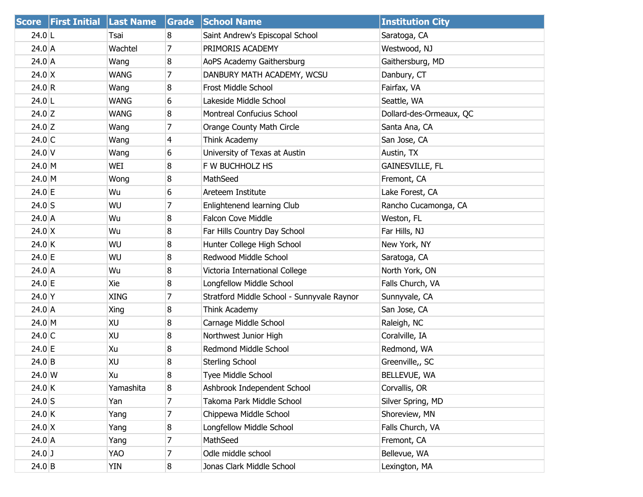| <b>Score</b>     | <b>First Initial Last Name</b> |             | Grade          | <b>School Name</b>                         | <b>Institution City</b> |
|------------------|--------------------------------|-------------|----------------|--------------------------------------------|-------------------------|
| $24.0$ L         |                                | Tsai        | 8              | Saint Andrew's Episcopal School            | Saratoga, CA            |
| 24.0 A           |                                | Wachtel     | 7              | PRIMORIS ACADEMY                           | Westwood, NJ            |
| 24.0 A           |                                | Wang        | 8              | AoPS Academy Gaithersburg                  | Gaithersburg, MD        |
| $24.0 \, X$      |                                | <b>WANG</b> | 7              | DANBURY MATH ACADEMY, WCSU                 | Danbury, CT             |
| 24.0 R           |                                | Wang        | 8              | Frost Middle School                        | Fairfax, VA             |
| $24.0$ L         |                                | <b>WANG</b> | 6              | Lakeside Middle School                     | Seattle, WA             |
| $24.0$ Z         |                                | <b>WANG</b> | 8              | <b>Montreal Confucius School</b>           | Dollard-des-Ormeaux, QC |
| $24.0$ Z         |                                | Wang        | 7              | Orange County Math Circle                  | Santa Ana, CA           |
| $24.0$ C         |                                | Wang        | $\overline{4}$ | Think Academy                              | San Jose, CA            |
| $24.0$ V         |                                | Wang        | 6              | University of Texas at Austin              | Austin, TX              |
| $24.0 \, M$      |                                | WEI         | 8              | F W BUCHHOLZ HS                            | <b>GAINESVILLE, FL</b>  |
| $24.0 \, M$      |                                | Wong        | 8              | MathSeed                                   | Fremont, CA             |
| 24.0 E           |                                | Wu          | 6              | Areteem Institute                          | Lake Forest, CA         |
| $24.0$ S         |                                | WU          | $\overline{7}$ | Enlightenend learning Club                 | Rancho Cucamonga, CA    |
| 24.0 A           |                                | Wu          | 8              | Falcon Cove Middle                         | Weston, FL              |
| $24.0 \text{ X}$ |                                | Wu          | 8              | Far Hills Country Day School               | Far Hills, NJ           |
| 24.0 K           |                                | WU          | 8              | Hunter College High School                 | New York, NY            |
| 24.0 E           |                                | WU          | 8              | Redwood Middle School                      | Saratoga, CA            |
| 24.0 A           |                                | Wu          | 8              | Victoria International College             | North York, ON          |
| $24.0 \, E$      |                                | Xie         | 8              | Longfellow Middle School                   | Falls Church, VA        |
| 24.0 Y           |                                | <b>XING</b> | 7              | Stratford Middle School - Sunnyvale Raynor | Sunnyvale, CA           |
| 24.0 A           |                                | Xing        | 8              | Think Academy                              | San Jose, CA            |
| $24.0 \, M$      |                                | XU          | 8              | Carnage Middle School                      | Raleigh, NC             |
| $24.0$ C         |                                | XU          | 8              | Northwest Junior High                      | Coralville, IA          |
| 24.0 E           |                                | Xu          | 8              | Redmond Middle School                      | Redmond, WA             |
| $24.0$ B         |                                | XU          | 8              | Sterling School                            | Greenville,, SC         |
| $24.0 \, W$      |                                | Xu          | 8              | <b>Tyee Middle School</b>                  | <b>BELLEVUE, WA</b>     |
| 24.0 K           |                                | Yamashita   | 8              | Ashbrook Independent School                | Corvallis, OR           |
| $24.0$ S         |                                | Yan         | 7              | Takoma Park Middle School                  | Silver Spring, MD       |
| 24.0 K           |                                | Yang        | 7              | Chippewa Middle School                     | Shoreview, MN           |
| $24.0 \text{ X}$ |                                | Yang        | 8              | Longfellow Middle School                   | Falls Church, VA        |
| 24.0 A           |                                | Yang        | 7              | MathSeed                                   | Fremont, CA             |
| $24.0$ J         |                                | YAO         | 7              | Odle middle school                         | Bellevue, WA            |
| $24.0$ B         |                                | YIN         | 8              | Jonas Clark Middle School                  | Lexington, MA           |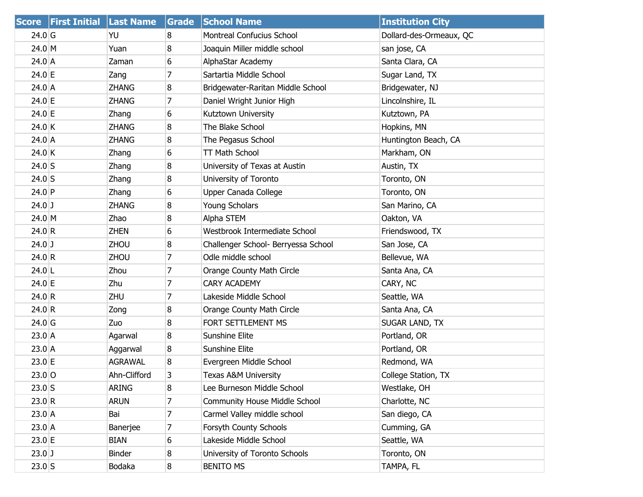|                   | Score First Initial Last Name |              | Grade            | <b>School Name</b>                   | <b>Institution City</b> |
|-------------------|-------------------------------|--------------|------------------|--------------------------------------|-------------------------|
| $24.0$ G          |                               | YU           | 8                | <b>Montreal Confucius School</b>     | Dollard-des-Ormeaux, QC |
| $24.0 \, M$       |                               | Yuan         | 8                | Joaquin Miller middle school         | san jose, CA            |
| 24.0 A            |                               | Zaman        | 6                | AlphaStar Academy                    | Santa Clara, CA         |
| $24.0 \, E$       |                               | Zang         | 7                | Sartartia Middle School              | Sugar Land, TX          |
| 24.0 A            |                               | <b>ZHANG</b> | 8                | Bridgewater-Raritan Middle School    | Bridgewater, NJ         |
| 24.0 E            |                               | <b>ZHANG</b> | 7                | Daniel Wright Junior High            | Lincolnshire, IL        |
| 24.0 E            |                               | Zhang        | 6                | Kutztown University                  | Kutztown, PA            |
| $24.0$ K          |                               | <b>ZHANG</b> | 8                | The Blake School                     | Hopkins, MN             |
| 24.0 A            |                               | <b>ZHANG</b> | 8                | The Pegasus School                   | Huntington Beach, CA    |
| $24.0$ K          |                               | Zhang        | 6                | <b>TT Math School</b>                | Markham, ON             |
| $24.0$ S          |                               | Zhang        | 8                | University of Texas at Austin        | Austin, TX              |
| $24.0$ S          |                               | Zhang        | 8                | University of Toronto                | Toronto, ON             |
| $24.0$ P          |                               | Zhang        | 6                | Upper Canada College                 | Toronto, ON             |
| $24.0$ J          |                               | <b>ZHANG</b> | 8                | Young Scholars                       | San Marino, CA          |
| $24.0 \, M$       |                               | <b>Zhao</b>  | 8                | Alpha STEM                           | Oakton, VA              |
| 24.0 R            |                               | <b>ZHEN</b>  | 6                | Westbrook Intermediate School        | Friendswood, TX         |
| $24.0$ J          |                               | ZHOU         | 8                | Challenger School- Berryessa School  | San Jose, CA            |
| 24.0 R            |                               | <b>ZHOU</b>  | $\overline{7}$   | Odle middle school                   | Bellevue, WA            |
| $24.0$ L          |                               | Zhou         | $\overline{7}$   | Orange County Math Circle            | Santa Ana, CA           |
| $24.0 \, E$       |                               | Zhu          | 7                | <b>CARY ACADEMY</b>                  | CARY, NC                |
| 24.0 R            |                               | ZHU          | 7                | Lakeside Middle School               | Seattle, WA             |
| 24.0 R            |                               | Zong         | 8                | Orange County Math Circle            | Santa Ana, CA           |
| 24.0 <sub>G</sub> |                               | Zuo          | 8                | FORT SETTLEMENT MS                   | SUGAR LAND, TX          |
| $23.0$ A          |                               | Agarwal      | 8                | Sunshine Elite                       | Portland, OR            |
| $23.0$ A          |                               | Aggarwal     | 8                | Sunshine Elite                       | Portland, OR            |
| $23.0 \text{ E}$  |                               | AGRAWAL      | 8                | Evergreen Middle School              | Redmond, WA             |
| $23.0$ O          |                               | Ahn-Clifford | 3                | <b>Texas A&amp;M University</b>      | College Station, TX     |
| $23.0$ S          |                               | <b>ARING</b> | 8                | Lee Burneson Middle School           | Westlake, OH            |
| 23.0 R            |                               | <b>ARUN</b>  | 7                | <b>Community House Middle School</b> | Charlotte, NC           |
| 23.0 A            |                               | Bai          | 7                | Carmel Valley middle school          | San diego, CA           |
| $23.0$ A          |                               | Banerjee     | $\overline{7}$   | Forsyth County Schools               | Cumming, GA             |
| 23.0 E            |                               | <b>BIAN</b>  | 6                | Lakeside Middle School               | Seattle, WA             |
| $23.0$ J          |                               | Binder       | 8                | University of Toronto Schools        | Toronto, ON             |
| $23.0$ S          |                               | Bodaka       | $\boldsymbol{8}$ | <b>BENITO MS</b>                     | TAMPA, FL               |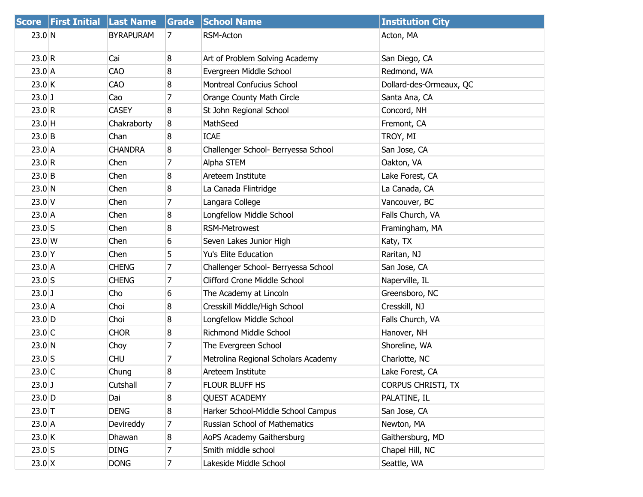|                  | Score First Initial Last Name |                  | Grade          | <b>School Name</b>                  | <b>Institution City</b>   |
|------------------|-------------------------------|------------------|----------------|-------------------------------------|---------------------------|
| $23.0$ N         |                               | <b>BYRAPURAM</b> | 7              | RSM-Acton                           | Acton, MA                 |
| 23.0 R           |                               | Cai              | 8              | Art of Problem Solving Academy      | San Diego, CA             |
| $23.0$ A         |                               | CAO              | 8              | Evergreen Middle School             | Redmond, WA               |
| 23.0 K           |                               | CAO              | 8              | Montreal Confucius School           | Dollard-des-Ormeaux, QC   |
| $23.0$ J         |                               | Cao              | 7              | Orange County Math Circle           | Santa Ana, CA             |
| 23.0 R           |                               | <b>CASEY</b>     | 8              | St John Regional School             | Concord, NH               |
| $23.0$ H         |                               | Chakraborty      | 8              | MathSeed                            | Fremont, CA               |
| 23.0 B           |                               | Chan             | 8              | <b>ICAE</b>                         | TROY, MI                  |
| 23.0 A           |                               | <b>CHANDRA</b>   | 8              | Challenger School- Berryessa School | San Jose, CA              |
| 23.0 R           |                               | Chen             | 7              | Alpha STEM                          | Oakton, VA                |
| 23.0 B           |                               | Chen             | 8              | Areteem Institute                   | Lake Forest, CA           |
| $23.0$ N         |                               | Chen             | 8              | La Canada Flintridge                | La Canada, CA             |
| $23.0$ V         |                               | Chen             | 7              | Langara College                     | Vancouver, BC             |
| $23.0$ A         |                               | Chen             | 8              | Longfellow Middle School            | Falls Church, VA          |
| $23.0$ S         |                               | Chen             | 8              | <b>RSM-Metrowest</b>                | Framingham, MA            |
| $23.0$ W         |                               | Chen             | 6              | Seven Lakes Junior High             | Katy, TX                  |
| $23.0$ Y         |                               | Chen             | 5              | Yu's Elite Education                | Raritan, NJ               |
| 23.0 A           |                               | <b>CHENG</b>     | $\overline{7}$ | Challenger School- Berryessa School | San Jose, CA              |
| $23.0$ S         |                               | <b>CHENG</b>     | $\overline{7}$ | <b>Clifford Crone Middle School</b> | Naperville, IL            |
| $23.0$ J         |                               | Cho              | 6              | The Academy at Lincoln              | Greensboro, NC            |
| $23.0$ A         |                               | Choi             | 8              | Cresskill Middle/High School        | Cresskill, NJ             |
| $23.0$ D         |                               | Choi             | 8              | Longfellow Middle School            | Falls Church, VA          |
| $23.0$ C         |                               | <b>CHOR</b>      | 8              | <b>Richmond Middle School</b>       | Hanover, NH               |
| $23.0$ N         |                               | Choy             | 7              | The Evergreen School                | Shoreline, WA             |
| $23.0$ S         |                               | <b>CHU</b>       | 7              | Metrolina Regional Scholars Academy | Charlotte, NC             |
| $23.0$ C         |                               | Chung            | 8              | Areteem Institute                   | Lake Forest, CA           |
| $23.0$ J         |                               | Cutshall         | 7              | FLOUR BLUFF HS                      | <b>CORPUS CHRISTI, TX</b> |
| $23.0$ D         |                               | Dai              | 8              | <b>QUEST ACADEMY</b>                | PALATINE, IL              |
| $23.0$ T         |                               | <b>DENG</b>      | 8              | Harker School-Middle School Campus  | San Jose, CA              |
| 23.0 A           |                               | Devireddy        | 7              | Russian School of Mathematics       | Newton, MA                |
| 23.0 K           |                               | Dhawan           | 8              | AoPS Academy Gaithersburg           | Gaithersburg, MD          |
| $23.0$ S         |                               | <b>DING</b>      | 7              | Smith middle school                 | Chapel Hill, NC           |
| $23.0 \text{ X}$ |                               | <b>DONG</b>      | $\overline{7}$ | Lakeside Middle School              | Seattle, WA               |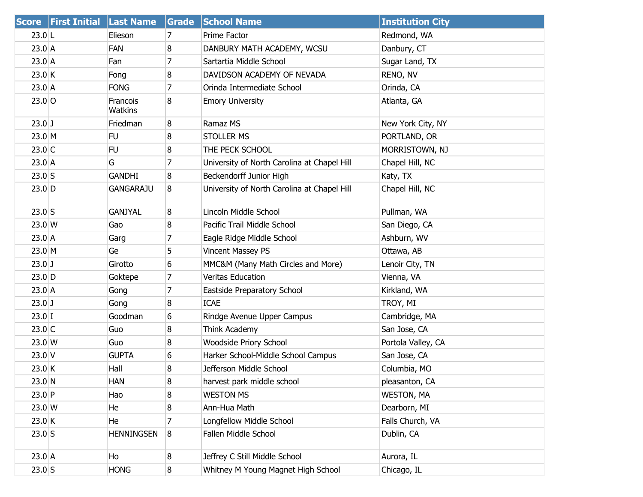|                  | Score First Initial Last Name |                     | Grade            | <b>School Name</b>                          | <b>Institution City</b> |
|------------------|-------------------------------|---------------------|------------------|---------------------------------------------|-------------------------|
| $23.0$ L         |                               | Elieson             | 7                | Prime Factor                                | Redmond, WA             |
| $23.0$ A         |                               | FAN                 | 8                | DANBURY MATH ACADEMY, WCSU                  | Danbury, CT             |
| $23.0$ A         |                               | Fan                 | $\overline{7}$   | Sartartia Middle School                     | Sugar Land, TX          |
| 23.0 K           |                               | Fong                | 8                | DAVIDSON ACADEMY OF NEVADA                  | RENO, NV                |
| 23.0 A           |                               | <b>FONG</b>         | 7                | Orinda Intermediate School                  | Orinda, CA              |
| $23.0$ O         |                               | Francois<br>Watkins | 8                | <b>Emory University</b>                     | Atlanta, GA             |
| $23.0$ J         |                               | Friedman            | 8                | Ramaz MS                                    | New York City, NY       |
| 23.0 M           |                               | <b>FU</b>           | 8                | <b>STOLLER MS</b>                           | PORTLAND, OR            |
| $23.0$ C         |                               | <b>FU</b>           | 8                | THE PECK SCHOOL                             | MORRISTOWN, NJ          |
| $23.0$ A         |                               | G.                  | $\overline{7}$   | University of North Carolina at Chapel Hill | Chapel Hill, NC         |
| $23.0$ S         |                               | <b>GANDHI</b>       | 8                | Beckendorff Junior High                     | Katy, TX                |
| $23.0$ D         |                               | <b>GANGARAJU</b>    | 8                | University of North Carolina at Chapel Hill | Chapel Hill, NC         |
| $23.0$ S         |                               | <b>GANJYAL</b>      | 8                | Lincoln Middle School                       | Pullman, WA             |
| $23.0$ W         |                               | Gao                 | 8                | Pacific Trail Middle School                 | San Diego, CA           |
| $23.0$ A         |                               | Garg                | 7                | Eagle Ridge Middle School                   | Ashburn, WV             |
| 23.0 M           |                               | Ge                  | 5                | Vincent Massey PS                           | Ottawa, AB              |
| $23.0$ J         |                               | Girotto             | 6                | MMC&M (Many Math Circles and More)          | Lenoir City, TN         |
| $23.0$ D         |                               | Goktepe             | 7                | <b>Veritas Education</b>                    | Vienna, VA              |
| $23.0$ A         |                               | Gong                | 7                | Eastside Preparatory School                 | Kirkland, WA            |
| $23.0$ J         |                               | Gong                | 8                | <b>ICAE</b>                                 | TROY, MI                |
| $23.0$ I         |                               | Goodman             | 6                | Rindge Avenue Upper Campus                  | Cambridge, MA           |
| $23.0$ C         |                               | Guo                 | 8                | Think Academy                               | San Jose, CA            |
| 23.0 W           |                               | Guo                 | 8                | Woodside Priory School                      | Portola Valley, CA      |
| $23.0$ V         |                               | <b>GUPTA</b>        | 6                | Harker School-Middle School Campus          | San Jose, CA            |
| $23.0$ K         |                               | Hall                | 8                | Jefferson Middle School                     | Columbia, MO            |
| $23.0$ N         |                               | <b>HAN</b>          | 8                | harvest park middle school                  | pleasanton, CA          |
| $23.0$ P         |                               | Hao                 | 8                | <b>WESTON MS</b>                            | <b>WESTON, MA</b>       |
| $23.0 \text{ W}$ |                               | He                  | 8                | Ann-Hua Math                                | Dearborn, MI            |
| 23.0 K           |                               | He                  | 7                | Longfellow Middle School                    | Falls Church, VA        |
| $23.0$ S         |                               | <b>HENNINGSEN</b>   | 8                | Fallen Middle School                        | Dublin, CA              |
| $23.0$ A         |                               | Ho                  | 8                | Jeffrey C Still Middle School               | Aurora, IL              |
| $23.0$ S         |                               | <b>HONG</b>         | $\boldsymbol{8}$ | Whitney M Young Magnet High School          | Chicago, IL             |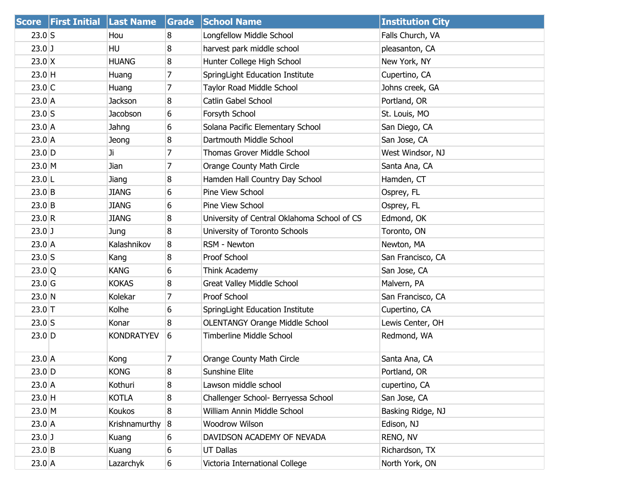| <b>Score</b>        | <b>First Initial</b> | <b>Last Name</b>  | Grade | <b>School Name</b>                          | <b>Institution City</b> |
|---------------------|----------------------|-------------------|-------|---------------------------------------------|-------------------------|
| $23.0$ S            |                      | Hou               | 8     | Longfellow Middle School                    | Falls Church, VA        |
| $23.0$ J            |                      | <b>HU</b>         | 8     | harvest park middle school                  | pleasanton, CA          |
| $23.0$ X            |                      | <b>HUANG</b>      | 8     | Hunter College High School                  | New York, NY            |
| $23.0$ H            |                      | Huang             | 7     | SpringLight Education Institute             | Cupertino, CA           |
| $23.0$ C            |                      | Huang             | 7     | Taylor Road Middle School                   | Johns creek, GA         |
| $23.0$ A            |                      | <b>Jackson</b>    | 8     | Catlin Gabel School                         | Portland, OR            |
| $23.0$ S            |                      | Jacobson          | 6     | Forsyth School                              | St. Louis, MO           |
| $23.0$ A            |                      | Jahng             | 6     | Solana Pacific Elementary School            | San Diego, CA           |
| $23.0$ A            |                      | Jeong             | 8     | Dartmouth Middle School                     | San Jose, CA            |
| $23.0$ D            |                      | Ji                | 7     | Thomas Grover Middle School                 | West Windsor, NJ        |
| $23.0 \, M$         |                      | Jian              | 7     | Orange County Math Circle                   | Santa Ana, CA           |
| $23.0$ L            |                      | Jiang             | 8     | Hamden Hall Country Day School              | Hamden, CT              |
| $23.0$ B            |                      | <b>JIANG</b>      | 6     | Pine View School                            | Osprey, FL              |
| $23.0$ B            |                      | <b>JIANG</b>      | 6     | Pine View School                            | Osprey, FL              |
| 23.0 R              |                      | <b>JIANG</b>      | 8     | University of Central Oklahoma School of CS | Edmond, OK              |
| $23.0$ J            |                      | Jung              | 8     | University of Toronto Schools               | Toronto, ON             |
| $23.0$ A            |                      | Kalashnikov       | 8     | RSM - Newton                                | Newton, MA              |
| $23.0$ S            |                      | Kang              | 8     | Proof School                                | San Francisco, CA       |
| $23.0$ <sup>Q</sup> |                      | <b>KANG</b>       | 6     | Think Academy                               | San Jose, CA            |
| $23.0$ G            |                      | <b>KOKAS</b>      | 8     | Great Valley Middle School                  | Malvern, PA             |
| 23.0 N              |                      | Kolekar           | 7     | Proof School                                | San Francisco, CA       |
| $23.0$ T            |                      | Kolhe             | 6     | SpringLight Education Institute             | Cupertino, CA           |
| $23.0$ S            |                      | Konar             | 8     | <b>OLENTANGY Orange Middle School</b>       | Lewis Center, OH        |
| $23.0$ D            |                      | <b>KONDRATYEV</b> | 6     | Timberline Middle School                    | Redmond, WA             |
| $23.0$ A            |                      | Kong              | 7     | Orange County Math Circle                   | Santa Ana, CA           |
| $23.0$ D            |                      | <b>KONG</b>       | 8     | Sunshine Elite                              | Portland, OR            |
| $23.0$ A            |                      | Kothuri           | 8     | Lawson middle school                        | cupertino, CA           |
| $23.0$ H            |                      | KOTLA             | 8     | Challenger School- Berryessa School         | San Jose, CA            |
| 23.0 M              |                      | Koukos            | 8     | William Annin Middle School                 | Basking Ridge, NJ       |
| $23.0$ A            |                      | Krishnamurthy     | 8     | Woodrow Wilson                              | Edison, NJ              |
| $23.0$ J            |                      | Kuang             | 6     | DAVIDSON ACADEMY OF NEVADA                  | RENO, NV                |
| $23.0$ B            |                      | Kuang             | 6     | <b>UT Dallas</b>                            | Richardson, TX          |
| $23.0$ A            |                      | Lazarchyk         | 6     | Victoria International College              | North York, ON          |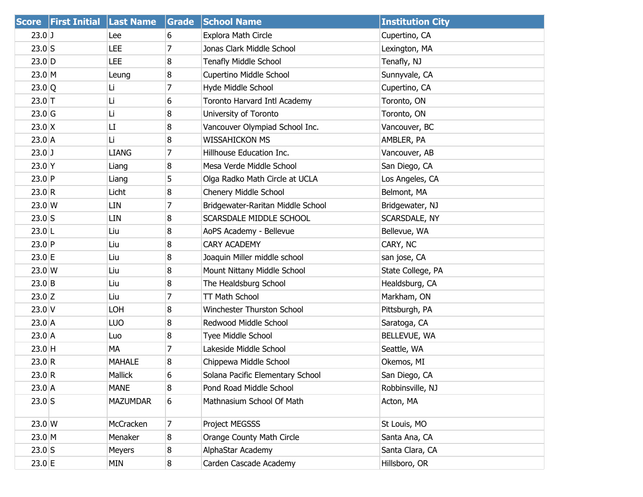|                  | <b>Score First Initial Last Name</b> |                 | Grade | <b>School Name</b>                | <b>Institution City</b> |
|------------------|--------------------------------------|-----------------|-------|-----------------------------------|-------------------------|
| $23.0$ J         |                                      | Lee             | 6     | Explora Math Circle               | Cupertino, CA           |
| $23.0$ S         |                                      | LEE             | 7     | Jonas Clark Middle School         | Lexington, MA           |
| $23.0$ D         |                                      | LEE             | 8     | Tenafly Middle School             | Tenafly, NJ             |
| 23.0 M           |                                      | Leung           | 8     | Cupertino Middle School           | Sunnyvale, CA           |
| 23.0 Q           |                                      | Li              | 7     | Hyde Middle School                | Cupertino, CA           |
| $23.0$ T         |                                      | Li              | 6     | Toronto Harvard Intl Academy      | Toronto, ON             |
| $23.0$ G         |                                      | Li              | 8     | University of Toronto             | Toronto, ON             |
| $23.0 \text{ X}$ |                                      | LI              | 8     | Vancouver Olympiad School Inc.    | Vancouver, BC           |
| $23.0$ A         |                                      | Li              | 8     | <b>WISSAHICKON MS</b>             | AMBLER, PA              |
| $23.0$ J         |                                      | <b>LIANG</b>    | 7     | Hillhouse Education Inc.          | Vancouver, AB           |
| $23.0$ Y         |                                      | Liang           | 8     | Mesa Verde Middle School          | San Diego, CA           |
| $23.0$ P         |                                      | Liang           | 5     | Olga Radko Math Circle at UCLA    | Los Angeles, CA         |
| 23.0 R           |                                      | Licht           | 8     | Chenery Middle School             | Belmont, MA             |
| $23.0 \text{ W}$ |                                      | LIN             | 7     | Bridgewater-Raritan Middle School | Bridgewater, NJ         |
| $23.0$ S         |                                      | LIN             | 8     | SCARSDALE MIDDLE SCHOOL           | SCARSDALE, NY           |
| $23.0$  L        |                                      | Liu             | 8     | AoPS Academy - Bellevue           | Bellevue, WA            |
| $23.0$ P         |                                      | Liu             | 8     | <b>CARY ACADEMY</b>               | CARY, NC                |
| 23.0 E           |                                      | Liu             | 8     | Joaquin Miller middle school      | san jose, CA            |
| $23.0$ W         |                                      | Liu             | 8     | Mount Nittany Middle School       | State College, PA       |
| $23.0$ B         |                                      | Liu             | 8     | The Healdsburg School             | Healdsburg, CA          |
| $23.0$ Z         |                                      | Liu             | 7     | TT Math School                    | Markham, ON             |
| $23.0$ V         |                                      | LOH             | 8     | Winchester Thurston School        | Pittsburgh, PA          |
| $23.0$ A         |                                      | LUO             | 8     | Redwood Middle School             | Saratoga, CA            |
| $23.0$ A         |                                      | Luo             | 8     | Tyee Middle School                | BELLEVUE, WA            |
| $23.0$ H         |                                      | МA              | 7     | Lakeside Middle School            | Seattle, WA             |
| 23.0 R           |                                      | <b>MAHALE</b>   | 8     | Chippewa Middle School            | Okemos, MI              |
| 23.0 R           |                                      | Mallick         | 6     | Solana Pacific Elementary School  | San Diego, CA           |
| $23.0$ A         |                                      | MANE            | 8     | Pond Road Middle School           | Robbinsville, NJ        |
| $23.0$ S         |                                      | <b>MAZUMDAR</b> | 6     | Mathnasium School Of Math         | Acton, MA               |
| 23.0 W           |                                      | McCracken       | 7     | Project MEGSSS                    | St Louis, MO            |
| $23.0 \, M$      |                                      | Menaker         | 8     | Orange County Math Circle         | Santa Ana, CA           |
| $23.0$ S         |                                      | Meyers          | 8     | AlphaStar Academy                 | Santa Clara, CA         |
| 23.0 E           |                                      | MIN             | 8     | Carden Cascade Academy            | Hillsboro, OR           |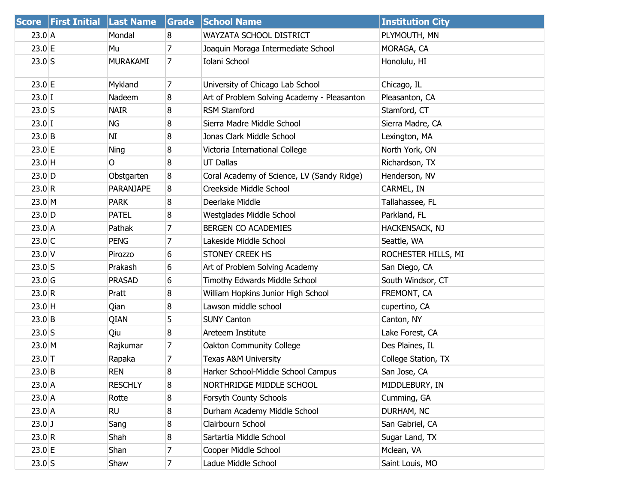| <b>Score</b> | <b>First Initial Last Name</b> |                  | Grade          | <b>School Name</b>                          | <b>Institution City</b> |
|--------------|--------------------------------|------------------|----------------|---------------------------------------------|-------------------------|
| $23.0$ A     |                                | Mondal           | 8              | WAYZATA SCHOOL DISTRICT                     | PLYMOUTH, MN            |
| 23.0 E       |                                | Mu               | $\overline{7}$ | Joaquin Moraga Intermediate School          | MORAGA, CA              |
| $23.0$ S     |                                | <b>MURAKAMI</b>  | 7              | Iolani School                               | Honolulu, HI            |
| 23.0 E       |                                | Mykland          | 7              | University of Chicago Lab School            | Chicago, IL             |
| $23.0$ I     |                                | Nadeem           | 8              | Art of Problem Solving Academy - Pleasanton | Pleasanton, CA          |
| $23.0$ S     |                                | <b>NAIR</b>      | 8              | <b>RSM Stamford</b>                         | Stamford, CT            |
| $23.0$ I     |                                | ΝG               | 8              | Sierra Madre Middle School                  | Sierra Madre, CA        |
| $23.0$ B     |                                | NI               | 8              | Jonas Clark Middle School                   | Lexington, MA           |
| 23.0 E       |                                | <b>Ning</b>      | 8              | Victoria International College              | North York, ON          |
| $23.0$ H     |                                | O                | 8              | <b>UT Dallas</b>                            | Richardson, TX          |
| $23.0$ D     |                                | Obstgarten       | 8              | Coral Academy of Science, LV (Sandy Ridge)  | Henderson, NV           |
| 23.0 R       |                                | <b>PARANJAPE</b> | 8              | Creekside Middle School                     | CARMEL, IN              |
| 23.0 M       |                                | <b>PARK</b>      | 8              | Deerlake Middle                             | Tallahassee, FL         |
| $23.0$ D     |                                | <b>PATEL</b>     | 8              | Westglades Middle School                    | Parkland, FL            |
| 23.0 A       |                                | Pathak           | $\overline{7}$ | BERGEN CO ACADEMIES                         | HACKENSACK, NJ          |
| $23.0$ C     |                                | <b>PENG</b>      | 7              | Lakeside Middle School                      | Seattle, WA             |
| $23.0$ V     |                                | Pirozzo          | 6              | STONEY CREEK HS                             | ROCHESTER HILLS, MI     |
| $23.0$ S     |                                | Prakash          | 6              | Art of Problem Solving Academy              | San Diego, CA           |
| $23.0$ G     |                                | <b>PRASAD</b>    | 6              | Timothy Edwards Middle School               | South Windsor, CT       |
| 23.0 R       |                                | Pratt            | 8              | William Hopkins Junior High School          | FREMONT, CA             |
| $23.0$ H     |                                | Qian             | 8              | Lawson middle school                        | cupertino, CA           |
| 23.0 B       |                                | QIAN             | 5              | <b>SUNY Canton</b>                          | Canton, NY              |
| $23.0$ S     |                                | Qiu              | 8              | Areteem Institute                           | Lake Forest, CA         |
| $23.0$ M     |                                | Rajkumar         | 7              | Oakton Community College                    | Des Plaines, IL         |
| $23.0$ T     |                                | Rapaka           | $\overline{7}$ | <b>Texas A&amp;M University</b>             | College Station, TX     |
| 23.0 B       |                                | <b>REN</b>       | 8              | Harker School-Middle School Campus          | San Jose, CA            |
| $23.0$ A     |                                | <b>RESCHLY</b>   | 8              | NORTHRIDGE MIDDLE SCHOOL                    | MIDDLEBURY, IN          |
| $23.0$ A     |                                | Rotte            | 8              | Forsyth County Schools                      | Cumming, GA             |
| 23.0 A       |                                | <b>RU</b>        | 8              | Durham Academy Middle School                | DURHAM, NC              |
| $23.0$ J     |                                | Sang             | 8              | Clairbourn School                           | San Gabriel, CA         |
| 23.0 R       |                                | Shah             | 8              | Sartartia Middle School                     | Sugar Land, TX          |
| 23.0 E       |                                | Shan             | 7              | Cooper Middle School                        | Mclean, VA              |
| $23.0$ S     |                                | Shaw             | $\overline{7}$ | Ladue Middle School                         | Saint Louis, MO         |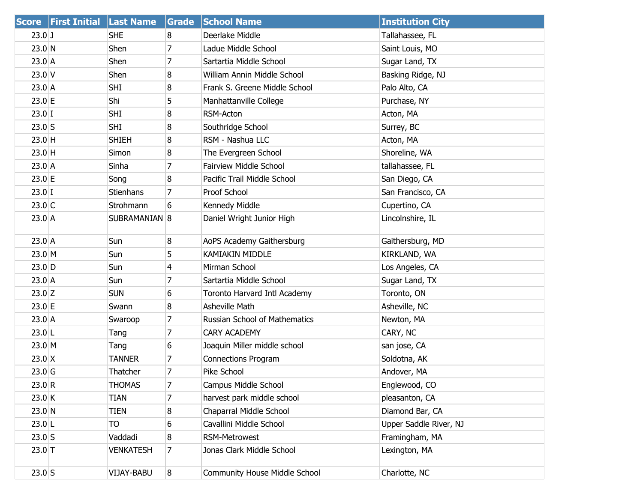|             | Score First Initial Last Name |                  | Grade          | <b>School Name</b>            | <b>Institution City</b> |
|-------------|-------------------------------|------------------|----------------|-------------------------------|-------------------------|
| $23.0$ J    |                               | <b>SHE</b>       | 8              | Deerlake Middle               | Tallahassee, FL         |
| $23.0$ N    |                               | Shen             | 7              | Ladue Middle School           | Saint Louis, MO         |
| 23.0 A      |                               | Shen             | 7              | Sartartia Middle School       | Sugar Land, TX          |
| $23.0$ V    |                               | Shen             | 8              | William Annin Middle School   | Basking Ridge, NJ       |
| $23.0$ A    |                               | <b>SHI</b>       | 8              | Frank S. Greene Middle School | Palo Alto, CA           |
| 23.0 E      |                               | Shi              | 5              | Manhattanville College        | Purchase, NY            |
| $23.0$ I    |                               | <b>SHI</b>       | 8              | RSM-Acton                     | Acton, MA               |
| $23.0$ S    |                               | <b>SHI</b>       | 8              | Southridge School             | Surrey, BC              |
| 23.0 H      |                               | <b>SHIEH</b>     | 8              | RSM - Nashua LLC              | Acton, MA               |
| 23.0 H      |                               | Simon            | 8              | The Evergreen School          | Shoreline, WA           |
| $23.0$ A    |                               | Sinha            | 7              | <b>Fairview Middle School</b> | tallahassee, FL         |
| 23.0 E      |                               | Song             | 8              | Pacific Trail Middle School   | San Diego, CA           |
| $23.0$ I    |                               | Stienhans        | 7              | Proof School                  | San Francisco, CA       |
| $23.0$ C    |                               | Strohmann        | 6              | Kennedy Middle                | Cupertino, CA           |
| 23.0 A      |                               | SUBRAMANIAN 8    |                | Daniel Wright Junior High     | Lincolnshire, IL        |
| 23.0 A      |                               | Sun              | 8              | AoPS Academy Gaithersburg     | Gaithersburg, MD        |
| $23.0 \, M$ |                               | Sun              | 5              | <b>KAMIAKIN MIDDLE</b>        | KIRKLAND, WA            |
| $23.0$ D    |                               | Sun              | $\overline{4}$ | Mirman School                 | Los Angeles, CA         |
| 23.0 A      |                               | Sun              | 7              | Sartartia Middle School       | Sugar Land, TX          |
| $23.0$ Z    |                               | <b>SUN</b>       | 6              | Toronto Harvard Intl Academy  | Toronto, ON             |
| $23.0$ E    |                               | Swann            | 8              | Asheville Math                | Asheville, NC           |
| 23.0 A      |                               | Swaroop          | 7              | Russian School of Mathematics | Newton, MA              |
| $23.0$  L   |                               | Tang             | $\overline{7}$ | <b>CARY ACADEMY</b>           | CARY, NC                |
| 23.0 M      |                               | Tang             | 6              | Joaquin Miller middle school  | san jose, CA            |
| $23.0$ X    |                               | <b>TANNER</b>    | 7              | <b>Connections Program</b>    | Soldotna, AK            |
| $23.0$ G    |                               | Thatcher         | $\overline{7}$ | Pike School                   | Andover, MA             |
| 23.0 R      |                               | <b>THOMAS</b>    | 7              | Campus Middle School          | Englewood, CO           |
| 23.0 K      |                               | <b>TIAN</b>      | 7              | harvest park middle school    | pleasanton, CA          |
| $23.0$ N    |                               | TIEN             | 8              | Chaparral Middle School       | Diamond Bar, CA         |
| $23.0$ L    |                               | TO               | 6              | Cavallini Middle School       | Upper Saddle River, NJ  |
| $23.0$ S    |                               | Vaddadi          | 8              | <b>RSM-Metrowest</b>          | Framingham, MA          |
| $23.0$ T    |                               | <b>VENKATESH</b> | 7              | Jonas Clark Middle School     | Lexington, MA           |
| $23.0$ S    |                               | VIJAY-BABU       | 8              | Community House Middle School | Charlotte, NC           |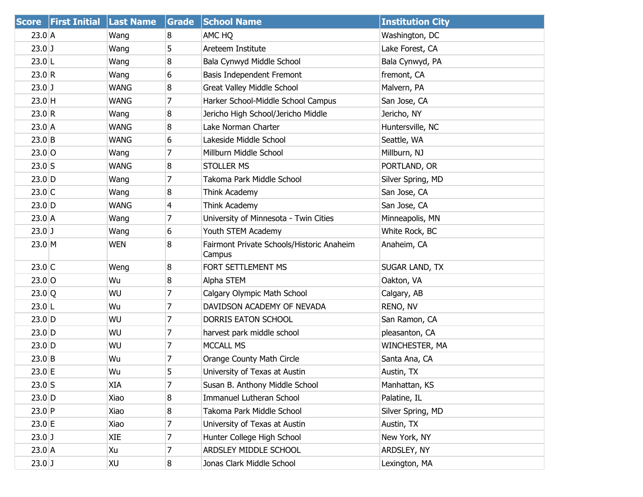| <b>Score</b> | <b>First Initial Last Name</b> |             | Grade          | <b>School Name</b>                                  | <b>Institution City</b> |
|--------------|--------------------------------|-------------|----------------|-----------------------------------------------------|-------------------------|
| $23.0$ A     |                                | Wang        | 8              | AMC HQ                                              | Washington, DC          |
| $23.0$ J     |                                | Wang        | 5              | Areteem Institute                                   | Lake Forest, CA         |
| $23.0$ L     |                                | Wang        | 8              | Bala Cynwyd Middle School                           | Bala Cynwyd, PA         |
| 23.0 R       |                                | Wang        | 6              | Basis Independent Fremont                           | fremont, CA             |
| $23.0$ J     |                                | <b>WANG</b> | 8              | Great Valley Middle School                          | Malvern, PA             |
| $23.0$ H     |                                | <b>WANG</b> | 7              | Harker School-Middle School Campus                  | San Jose, CA            |
| 23.0 R       |                                | Wang        | 8              | Jericho High School/Jericho Middle                  | Jericho, NY             |
| 23.0 A       |                                | <b>WANG</b> | 8              | Lake Norman Charter                                 | Huntersville, NC        |
| $23.0$ B     |                                | <b>WANG</b> | 6              | Lakeside Middle School                              | Seattle, WA             |
| $23.0$ O     |                                | Wang        | 7              | Millburn Middle School                              | Millburn, NJ            |
| $23.0$ S     |                                | <b>WANG</b> | 8              | <b>STOLLER MS</b>                                   | PORTLAND, OR            |
| $23.0$ D     |                                | Wang        | 7              | Takoma Park Middle School                           | Silver Spring, MD       |
| $23.0$ C     |                                | Wang        | 8              | Think Academy                                       | San Jose, CA            |
| $23.0$ D     |                                | <b>WANG</b> | 4              | Think Academy                                       | San Jose, CA            |
| $23.0$ A     |                                | Wang        | 7              | University of Minnesota - Twin Cities               | Minneapolis, MN         |
| $23.0$ J     |                                | Wang        | 6              | Youth STEM Academy                                  | White Rock, BC          |
| 23.0 M       |                                | <b>WEN</b>  | 8              | Fairmont Private Schools/Historic Anaheim<br>Campus | Anaheim, CA             |
| $23.0$ C     |                                | Weng        | 8              | FORT SETTLEMENT MS                                  | <b>SUGAR LAND, TX</b>   |
| $23.0$ O     |                                | Wu          | 8              | Alpha STEM                                          | Oakton, VA              |
| 23.0 Q       |                                | WU          | 7              | Calgary Olympic Math School                         | Calgary, AB             |
| $23.0$  L    |                                | Wu          | 7              | DAVIDSON ACADEMY OF NEVADA                          | RENO, NV                |
| $23.0$ D     |                                | WU          | $\overline{7}$ | DORRIS EATON SCHOOL                                 | San Ramon, CA           |
| $23.0$ D     |                                | WU          | 7              | harvest park middle school                          | pleasanton, CA          |
| $23.0$ D     |                                | WU          | 7              | MCCALL MS                                           | WINCHESTER, MA          |
| 23.0 B       |                                | Wu          | 7              | Orange County Math Circle                           | Santa Ana, CA           |
| $23.0$ E     |                                | Wu          | 5              | University of Texas at Austin                       | Austin, TX              |
| $23.0$ S     |                                | XIA         | 7              | Susan B. Anthony Middle School                      | Manhattan, KS           |
| $23.0$ D     |                                | Xiao        | 8              | Immanuel Lutheran School                            | Palatine, IL            |
| $23.0$ P     |                                | Xiao        | 8              | Takoma Park Middle School                           | Silver Spring, MD       |
| 23.0 E       |                                | Xiao        | 7              | University of Texas at Austin                       | Austin, TX              |
| $23.0$ J     |                                | XIE         | 7              | Hunter College High School                          | New York, NY            |
| $23.0$ A     |                                | Xu          | 7              | ARDSLEY MIDDLE SCHOOL                               | ARDSLEY, NY             |
| $23.0$ J     |                                | XU          | 8              | Jonas Clark Middle School                           | Lexington, MA           |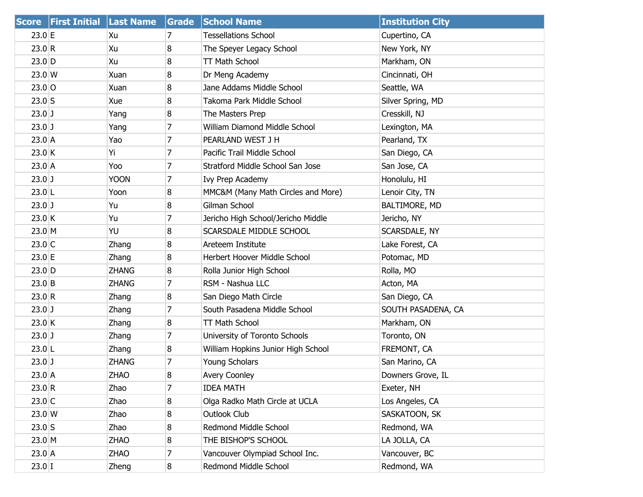|                  | Score First Initial Last Name |              | Grade | <b>School Name</b>                 | <b>Institution City</b> |
|------------------|-------------------------------|--------------|-------|------------------------------------|-------------------------|
| $23.0 \text{ E}$ |                               | Xu           | 7     | <b>Tessellations School</b>        | Cupertino, CA           |
| 23.0 R           |                               | Xu           | 8     | The Speyer Legacy School           | New York, NY            |
| $23.0$ D         |                               | Xu           | 8     | TT Math School                     | Markham, ON             |
| $23.0$ W         |                               | Xuan         | 8     | Dr Meng Academy                    | Cincinnati, OH          |
| $23.0$ O         |                               | Xuan         | 8     | Jane Addams Middle School          | Seattle, WA             |
| $23.0$ S         |                               | Xue          | 8     | Takoma Park Middle School          | Silver Spring, MD       |
| $23.0$ J         |                               | Yang         | 8     | The Masters Prep                   | Cresskill, NJ           |
| $23.0$ J         |                               | Yang         | 7     | William Diamond Middle School      | Lexington, MA           |
| $23.0$ A         |                               | Yao          | 7     | PEARLAND WEST J H                  | Pearland, TX            |
| 23.0 K           |                               | Υi           | 7     | Pacific Trail Middle School        | San Diego, CA           |
| $23.0$ A         |                               | Yoo          | 7     | Stratford Middle School San Jose   | San Jose, CA            |
| $23.0$ J         |                               | <b>YOON</b>  | 7     | Ivy Prep Academy                   | Honolulu, HI            |
| $23.0$ L         |                               | Yoon         | 8     | MMC&M (Many Math Circles and More) | Lenoir City, TN         |
| $23.0$ J         |                               | Yu           | 8     | Gilman School                      | BALTIMORE, MD           |
| 23.0 K           |                               | Yu           | 7     | Jericho High School/Jericho Middle | Jericho, NY             |
| 23.0 M           |                               | YU           | 8     | SCARSDALE MIDDLE SCHOOL            | SCARSDALE, NY           |
| $23.0$ C         |                               | Zhang        | 8     | Areteem Institute                  | Lake Forest, CA         |
| 23.0 E           |                               | Zhang        | 8     | Herbert Hoover Middle School       | Potomac, MD             |
| $23.0$ D         |                               | <b>ZHANG</b> | 8     | Rolla Junior High School           | Rolla, MO               |
| $23.0$ B         |                               | <b>ZHANG</b> | 7     | RSM - Nashua LLC                   | Acton, MA               |
| 23.0 R           |                               | Zhang        | 8     | San Diego Math Circle              | San Diego, CA           |
| $23.0$ J         |                               | Zhang        | 7     | South Pasadena Middle School       | SOUTH PASADENA, CA      |
| 23.0 K           |                               | Zhang        | 8     | TT Math School                     | Markham, ON             |
| $23.0$ J         |                               | Zhang        | 7     | University of Toronto Schools      | Toronto, ON             |
| $23.0$ L         |                               | Zhang        | 8     | William Hopkins Junior High School | FREMONT, CA             |
| $23.0$ J         |                               | <b>ZHANG</b> | 7     | Young Scholars                     | San Marino, CA          |
| $23.0$ A         |                               | <b>ZHAO</b>  | 8     | <b>Avery Coonley</b>               | Downers Grove, IL       |
| 23.0 R           |                               | Zhao         | 7     | <b>IDEA MATH</b>                   | Exeter, NH              |
| $23.0$ C         |                               | Zhao         | 8     | Olga Radko Math Circle at UCLA     | Los Angeles, CA         |
| $23.0 \text{ W}$ |                               | Zhao         | 8     | Outlook Club                       | SASKATOON, SK           |
| $23.0$ S         |                               | Zhao         | 8     | Redmond Middle School              | Redmond, WA             |
| 23.0 M           |                               | ZHAO         | 8     | THE BISHOP'S SCHOOL                | LA JOLLA, CA            |
| $23.0$ A         |                               | ZHAO         | 7     | Vancouver Olympiad School Inc.     | Vancouver, BC           |
| $23.0$ I         |                               | Zheng        | 8     | Redmond Middle School              | Redmond, WA             |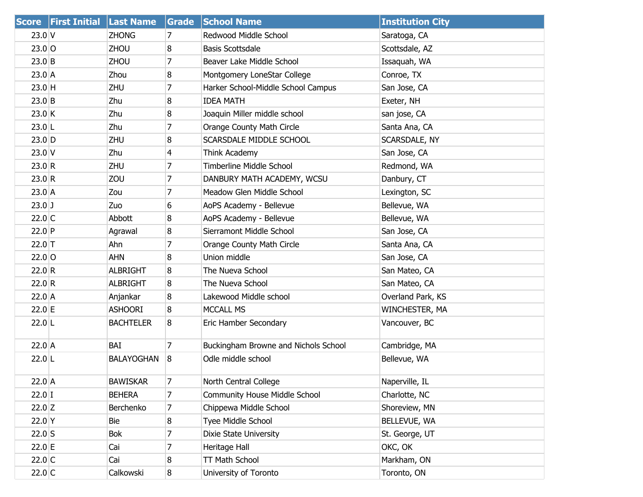|          | Score First Initial Last Name |                   | Grade          | <b>School Name</b>                   | <b>Institution City</b> |
|----------|-------------------------------|-------------------|----------------|--------------------------------------|-------------------------|
| $23.0$ V |                               | <b>ZHONG</b>      | 7              | Redwood Middle School                | Saratoga, CA            |
| $23.0$ O |                               | <b>ZHOU</b>       | 8              | <b>Basis Scottsdale</b>              | Scottsdale, AZ          |
| $23.0$ B |                               | <b>ZHOU</b>       | 7              | Beaver Lake Middle School            | Issaquah, WA            |
| $23.0$ A |                               | Zhou              | 8              | Montgomery LoneStar College          | Conroe, TX              |
| 23.0 H   |                               | <b>ZHU</b>        | 7              | Harker School-Middle School Campus   | San Jose, CA            |
| $23.0$ B |                               | Zhu               | 8              | <b>IDEA MATH</b>                     | Exeter, NH              |
| 23.0 K   |                               | Zhu               | 8              | Joaquin Miller middle school         | san jose, CA            |
| $23.0$ L |                               | Zhu               | $\overline{7}$ | Orange County Math Circle            | Santa Ana, CA           |
| $23.0$ D |                               | <b>ZHU</b>        | 8              | SCARSDALE MIDDLE SCHOOL              | SCARSDALE, NY           |
| $23.0$ V |                               | Zhu               | 4              | Think Academy                        | San Jose, CA            |
| 23.0 R   |                               | <b>ZHU</b>        | 7              | <b>Timberline Middle School</b>      | Redmond, WA             |
| 23.0 R   |                               | ZOU               | 7              | DANBURY MATH ACADEMY, WCSU           | Danbury, CT             |
| 23.0 A   |                               | Zou               | 7              | Meadow Glen Middle School            | Lexington, SC           |
| $23.0$ J |                               | Zuo               | 6              | AoPS Academy - Bellevue              | Bellevue, WA            |
| $22.0$ C |                               | Abbott            | 8              | AoPS Academy - Bellevue              | Bellevue, WA            |
| $22.0$ P |                               | Agrawal           | 8              | Sierramont Middle School             | San Jose, CA            |
| $22.0$ T |                               | Ahn               | 7              | Orange County Math Circle            | Santa Ana, CA           |
| $22.0$ O |                               | <b>AHN</b>        | 8              | Union middle                         | San Jose, CA            |
| 22.0 R   |                               | <b>ALBRIGHT</b>   | 8              | The Nueva School                     | San Mateo, CA           |
| 22.0 R   |                               | <b>ALBRIGHT</b>   | 8              | The Nueva School                     | San Mateo, CA           |
| $22.0$ A |                               | Anjankar          | 8              | Lakewood Middle school               | Overland Park, KS       |
| 22.0 E   |                               | <b>ASHOORI</b>    | 8              | <b>MCCALL MS</b>                     | WINCHESTER, MA          |
| $22.0$ L |                               | <b>BACHTELER</b>  | 8              | Eric Hamber Secondary                | Vancouver, BC           |
| $22.0$ A |                               | BAI               | 7              | Buckingham Browne and Nichols School | Cambridge, MA           |
| $22.0$ L |                               | <b>BALAYOGHAN</b> | 8              | Odle middle school                   | Bellevue, WA            |
| $22.0$ A |                               | <b>BAWISKAR</b>   | 7              | North Central College                | Naperville, IL          |
| $22.0$ I |                               | <b>BEHERA</b>     | 7              | Community House Middle School        | Charlotte, NC           |
| $22.0$ Z |                               | Berchenko         | 7              | Chippewa Middle School               | Shoreview, MN           |
| 22.0 Y   |                               | Bie               | 8              | Tyee Middle School                   | BELLEVUE, WA            |
| $22.0$ S |                               | Bok               | 7              | Dixie State University               | St. George, UT          |
| 22.0 E   |                               | Cai               | 7              | Heritage Hall                        | OKC, OK                 |
| $22.0$ C |                               | Cai               | 8              | TT Math School                       | Markham, ON             |
| $22.0$ C |                               | Calkowski         | 8              | University of Toronto                | Toronto, ON             |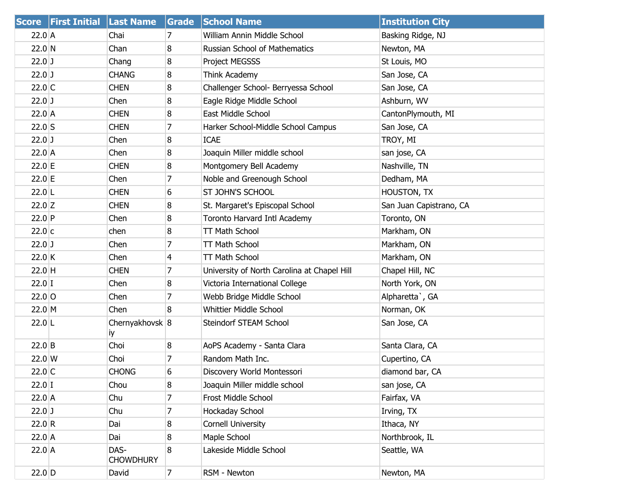|                 | Score First Initial Last Name |                          | Grade          | <b>School Name</b>                          | <b>Institution City</b> |
|-----------------|-------------------------------|--------------------------|----------------|---------------------------------------------|-------------------------|
| $22.0$ A        |                               | Chai                     | 7              | William Annin Middle School                 | Basking Ridge, NJ       |
| $22.0$ N        |                               | Chan                     | 8              | Russian School of Mathematics               | Newton, MA              |
| $22.0$ J        |                               | Chang                    | 8              | Project MEGSSS                              | St Louis, MO            |
| $22.0$ J        |                               | <b>CHANG</b>             | 8              | Think Academy                               | San Jose, CA            |
| $22.0$ C        |                               | <b>CHEN</b>              | 8              | Challenger School- Berryessa School         | San Jose, CA            |
| $22.0$ J        |                               | Chen                     | 8              | Eagle Ridge Middle School                   | Ashburn, WV             |
| $22.0$ A        |                               | <b>CHEN</b>              | 8              | East Middle School                          | CantonPlymouth, MI      |
| $22.0$ S        |                               | <b>CHEN</b>              | 7              | Harker School-Middle School Campus          | San Jose, CA            |
| $22.0$ J        |                               | Chen                     | 8              | <b>ICAE</b>                                 | TROY, MI                |
| $22.0$ A        |                               | Chen                     | 8              | Joaquin Miller middle school                | san jose, CA            |
| 22.0 E          |                               | <b>CHEN</b>              | 8              | Montgomery Bell Academy                     | Nashville, TN           |
| 22.0 E          |                               | Chen                     | 7              | Noble and Greenough School                  | Dedham, MA              |
| $22.0$ L        |                               | <b>CHEN</b>              | 6              | <b>ST JOHN'S SCHOOL</b>                     | HOUSTON, TX             |
| $22.0$ Z        |                               | <b>CHEN</b>              | 8              | St. Margaret's Episcopal School             | San Juan Capistrano, CA |
| $22.0$ P        |                               | Chen                     | 8              | Toronto Harvard Intl Academy                | Toronto, ON             |
| 22.0 c          |                               | chen                     | 8              | TT Math School                              | Markham, ON             |
| $22.0$ J        |                               | Chen                     | 7              | TT Math School                              | Markham, ON             |
| 22.0 K          |                               | Chen                     | $\overline{4}$ | TT Math School                              | Markham, ON             |
| 22.0 H          |                               | <b>CHEN</b>              | 7              | University of North Carolina at Chapel Hill | Chapel Hill, NC         |
| $22.0$ I        |                               | Chen                     | 8              | Victoria International College              | North York, ON          |
| $22.0$ O        |                               | Chen                     | 7              | Webb Bridge Middle School                   | Alpharetta`, GA         |
| $22.0 \, M$     |                               | Chen                     | 8              | Whittier Middle School                      | Norman, OK              |
| $22.0$ L        |                               | Chernyakhovsk 8<br>iy    |                | Steindorf STEAM School                      | San Jose, CA            |
| $22.0$ B        |                               | Choi                     | 8              | AoPS Academy - Santa Clara                  | Santa Clara, CA         |
| $22.0 \text{W}$ |                               | Choi                     | $\overline{7}$ | Random Math Inc.                            | Cupertino, CA           |
| $22.0$ C        |                               | <b>CHONG</b>             | 6              | Discovery World Montessori                  | diamond bar, CA         |
| $22.0$ I        |                               | Chou                     | 8              | Joaquin Miller middle school                | san jose, CA            |
| $22.0$ A        |                               | Chu                      | 7              | Frost Middle School                         | Fairfax, VA             |
| $22.0$ J        |                               | Chu                      | 7              | Hockaday School                             | Irving, TX              |
| 22.0 R          |                               | Dai                      | 8              | <b>Cornell University</b>                   | Ithaca, NY              |
| $22.0$ A        |                               | Dai                      | 8              | Maple School                                | Northbrook, IL          |
| $22.0$ A        |                               | DAS-<br><b>CHOWDHURY</b> | 8              | Lakeside Middle School                      | Seattle, WA             |
| $22.0$ D        |                               | David                    | $\overline{7}$ | RSM - Newton                                | Newton, MA              |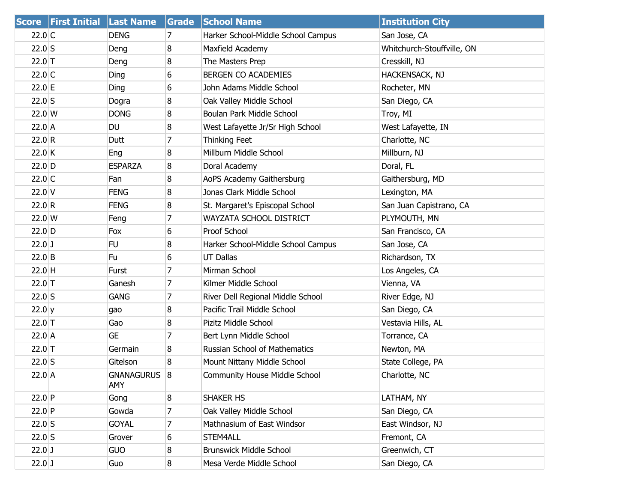|          | Score First Initial Last Name |                          | Grade          | <b>School Name</b>                   | <b>Institution City</b>    |
|----------|-------------------------------|--------------------------|----------------|--------------------------------------|----------------------------|
| $22.0$ C |                               | <b>DENG</b>              | 7              | Harker School-Middle School Campus   | San Jose, CA               |
| $22.0$ S |                               | Deng                     | 8              | Maxfield Academy                     | Whitchurch-Stouffville, ON |
| $22.0$ T |                               | Deng                     | 8              | The Masters Prep                     | Cresskill, NJ              |
| $22.0$ C |                               | Ding                     | 6              | BERGEN CO ACADEMIES                  | HACKENSACK, NJ             |
| 22.0 E   |                               | Ding                     | 6              | John Adams Middle School             | Rocheter, MN               |
| $22.0$ S |                               | Dogra                    | 8              | Oak Valley Middle School             | San Diego, CA              |
| 22.0 W   |                               | <b>DONG</b>              | 8              | Boulan Park Middle School            | Troy, MI                   |
| 22.0 A   |                               | DU                       | 8              | West Lafayette Jr/Sr High School     | West Lafayette, IN         |
| 22.0 R   |                               | Dutt                     | 7              | Thinking Feet                        | Charlotte, NC              |
| $22.0$ K |                               | Eng                      | $\overline{8}$ | Millburn Middle School               | Millburn, NJ               |
| $22.0$ D |                               | <b>ESPARZA</b>           | 8              | Doral Academy                        | Doral, FL                  |
| $22.0$ C |                               | Fan                      | 8              | AoPS Academy Gaithersburg            | Gaithersburg, MD           |
| $22.0$ V |                               | <b>FENG</b>              | 8              | Jonas Clark Middle School            | Lexington, MA              |
| 22.0 R   |                               | <b>FENG</b>              | 8              | St. Margaret's Episcopal School      | San Juan Capistrano, CA    |
| $22.0$ W |                               | Feng                     | 7              | WAYZATA SCHOOL DISTRICT              | PLYMOUTH, MN               |
| $22.0$ D |                               | Fox                      | 6              | Proof School                         | San Francisco, CA          |
| $22.0$ J |                               | FU                       | 8              | Harker School-Middle School Campus   | San Jose, CA               |
| $22.0$ B |                               | Fu                       | 6              | <b>UT Dallas</b>                     | Richardson, TX             |
| $22.0$ H |                               | Furst                    | 7              | Mirman School                        | Los Angeles, CA            |
| $22.0$ T |                               | Ganesh                   | 7              | Kilmer Middle School                 | Vienna, VA                 |
| $22.0$ S |                               | <b>GANG</b>              | 7              | River Dell Regional Middle School    | River Edge, NJ             |
| 22.0 y   |                               | gao                      | 8              | Pacific Trail Middle School          | San Diego, CA              |
| $22.0$ T |                               | Gao                      | 8              | Pizitz Middle School                 | Vestavia Hills, AL         |
| $22.0$ A |                               | <b>GE</b>                | 7              | Bert Lynn Middle School              | Torrance, CA               |
| $22.0$ T |                               | Germain                  | 8              | Russian School of Mathematics        | Newton, MA                 |
| $22.0$ S |                               | Gitelson                 | 8              | Mount Nittany Middle School          | State College, PA          |
| $22.0$ A |                               | <b>GNANAGURUS</b><br>AMY | 8              | <b>Community House Middle School</b> | Charlotte, NC              |
| $22.0$ P |                               | Gong                     | 8              | SHAKER HS                            | LATHAM, NY                 |
| $22.0$ P |                               | Gowda                    | 7              | Oak Valley Middle School             | San Diego, CA              |
| $22.0$ S |                               | <b>GOYAL</b>             | 7              | Mathnasium of East Windsor           | East Windsor, NJ           |
| $22.0$ S |                               | Grover                   | 6              | STEM4ALL                             | Fremont, CA                |
| $22.0$ J |                               | <b>GUO</b>               | 8              | <b>Brunswick Middle School</b>       | Greenwich, CT              |
| $22.0$ J |                               | Guo                      | 8              | Mesa Verde Middle School             | San Diego, CA              |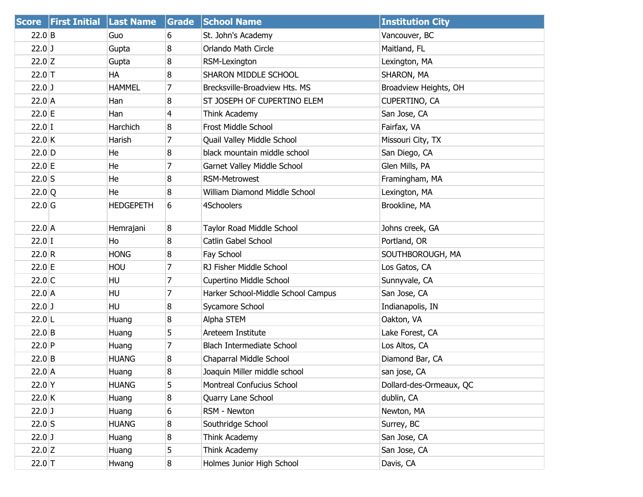| <b>Score</b> | <b>First Initial Last Name</b> |                  | Grade          | <b>School Name</b>                 | <b>Institution City</b> |
|--------------|--------------------------------|------------------|----------------|------------------------------------|-------------------------|
| $22.0$ B     |                                | Guo              | 6              | St. John's Academy                 | Vancouver, BC           |
| $22.0$ J     |                                | Gupta            | 8              | Orlando Math Circle                | Maitland, FL            |
| 22.0 Z       |                                | Gupta            | 8              | RSM-Lexington                      | Lexington, MA           |
| $22.0$ T     |                                | НA               | 8              | SHARON MIDDLE SCHOOL               | SHARON, MA              |
| $22.0$ J     |                                | <b>HAMMEL</b>    | 7              | Brecksville-Broadview Hts. MS      | Broadview Heights, OH   |
| $22.0$ A     |                                | Han              | 8              | ST JOSEPH OF CUPERTINO ELEM        | CUPERTINO, CA           |
| 22.0 E       |                                | Han              | $\overline{4}$ | Think Academy                      | San Jose, CA            |
| $22.0$ I     |                                | Harchich         | 8              | Frost Middle School                | Fairfax, VA             |
| 22.0K        |                                | Harish           | 7              | Quail Valley Middle School         | Missouri City, TX       |
| $22.0$ D     |                                | He               | 8              | black mountain middle school       | San Diego, CA           |
| 22.0 E       |                                | He               | 7              | Garnet Valley Middle School        | Glen Mills, PA          |
| $22.0$ S     |                                | He               | 8              | RSM-Metrowest                      | Framingham, MA          |
| 22.0 Q       |                                | He               | 8              | William Diamond Middle School      | Lexington, MA           |
| $22.0$ G     |                                | <b>HEDGEPETH</b> | 6              | 4Schoolers                         | Brookline, MA           |
| $22.0$ A     |                                | Hemrajani        | 8              | Taylor Road Middle School          | Johns creek, GA         |
| $22.0$ I     |                                | Ho               | 8              | Catlin Gabel School                | Portland, OR            |
| 22.0 R       |                                | <b>HONG</b>      | 8              | Fay School                         | SOUTHBOROUGH, MA        |
| 22.0 E       |                                | <b>HOU</b>       | $\overline{7}$ | RJ Fisher Middle School            | Los Gatos, CA           |
| $22.0$ C     |                                | HU               | 7              | Cupertino Middle School            | Sunnyvale, CA           |
| $22.0$ A     |                                | HU               | $\overline{7}$ | Harker School-Middle School Campus | San Jose, CA            |
| $22.0$ J     |                                | HU               | 8              | Sycamore School                    | Indianapolis, IN        |
| $22.0$ L     |                                | Huang            | 8              | Alpha STEM                         | Oakton, VA              |
| $22.0$ B     |                                | Huang            | 5              | Areteem Institute                  | Lake Forest, CA         |
| $22.0$ P     |                                | Huang            | $\overline{7}$ | <b>Blach Intermediate School</b>   | Los Altos, CA           |
| $22.0$ B     |                                | <b>HUANG</b>     | 8              | Chaparral Middle School            | Diamond Bar, CA         |
| $22.0$ A     |                                | Huang            | 8              | Joaquin Miller middle school       | san jose, CA            |
| $22.0$ Y     |                                | <b>HUANG</b>     | 5              | Montreal Confucius School          | Dollard-des-Ormeaux, QC |
| 22.0 K       |                                | Huang            | 8              | Quarry Lane School                 | dublin, CA              |
| $22.0$ J     |                                | Huang            | 6              | RSM - Newton                       | Newton, MA              |
| $22.0$ S     |                                | <b>HUANG</b>     | 8              | Southridge School                  | Surrey, BC              |
| $22.0$ J     |                                | Huang            | 8              | Think Academy                      | San Jose, CA            |
| $22.0$ Z     |                                | Huang            | 5              | Think Academy                      | San Jose, CA            |
| $22.0$ T     |                                | Hwang            | 8              | Holmes Junior High School          | Davis, CA               |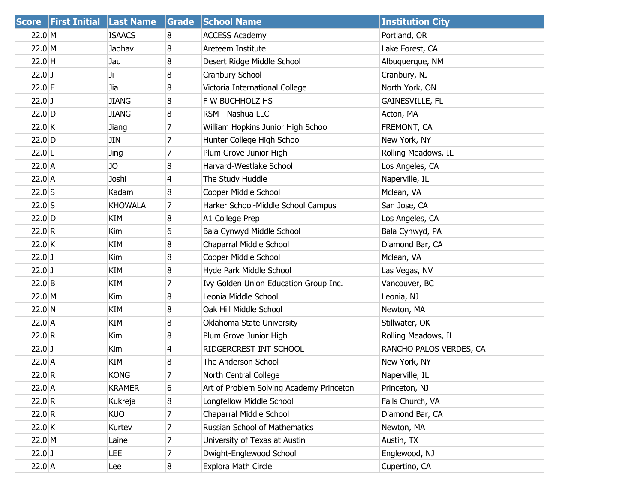|          | Score   First Initial   Last Name |                | Grade          | <b>School Name</b>                       | <b>Institution City</b> |
|----------|-----------------------------------|----------------|----------------|------------------------------------------|-------------------------|
| 22.0 M   |                                   | <b>ISAACS</b>  | 8              | <b>ACCESS Academy</b>                    | Portland, OR            |
| 22.0 M   |                                   | Jadhav         | 8              | Areteem Institute                        | Lake Forest, CA         |
| $22.0$ H |                                   | Jau            | 8              | Desert Ridge Middle School               | Albuquerque, NM         |
| $22.0$ J |                                   | Ji.            | 8              | Cranbury School                          | Cranbury, NJ            |
| $22.0$ E |                                   | Jia            | 8              | Victoria International College           | North York, ON          |
| $22.0$ J |                                   | <b>JIANG</b>   | 8              | F W BUCHHOLZ HS                          | <b>GAINESVILLE, FL</b>  |
| $22.0$ D |                                   | <b>JIANG</b>   | 8              | RSM - Nashua LLC                         | Acton, MA               |
| $22.0$ K |                                   | Jiang          | 7              | William Hopkins Junior High School       | FREMONT, CA             |
| $22.0$ D |                                   | JIN            | 7              | Hunter College High School               | New York, NY            |
| $22.0$ L |                                   | Jing           | 7              | Plum Grove Junior High                   | Rolling Meadows, IL     |
| $22.0$ A |                                   | JO             | 8              | Harvard-Westlake School                  | Los Angeles, CA         |
| $22.0$ A |                                   | Joshi          | $\overline{4}$ | The Study Huddle                         | Naperville, IL          |
| $22.0$ S |                                   | Kadam          | 8              | Cooper Middle School                     | Mclean, VA              |
| $22.0$ S |                                   | <b>KHOWALA</b> | 7              | Harker School-Middle School Campus       | San Jose, CA            |
| $22.0$ D |                                   | KIM            | 8              | A1 College Prep                          | Los Angeles, CA         |
| 22.0 R   |                                   | Kim            | 6              | Bala Cynwyd Middle School                | Bala Cynwyd, PA         |
| $22.0$ K |                                   | KIM            | 8              | Chaparral Middle School                  | Diamond Bar, CA         |
| $22.0$ J |                                   | Kim            | 8              | Cooper Middle School                     | Mclean, VA              |
| $22.0$ J |                                   | KIM            | 8              | Hyde Park Middle School                  | Las Vegas, NV           |
| $22.0$ B |                                   | KIM            | 7              | Ivy Golden Union Education Group Inc.    | Vancouver, BC           |
| 22.0 M   |                                   | Kim            | 8              | Leonia Middle School                     | Leonia, NJ              |
| 22.0 N   |                                   | KIM            | 8              | Oak Hill Middle School                   | Newton, MA              |
| $22.0$ A |                                   | KIM            | 8              | Oklahoma State University                | Stillwater, OK          |
| 22.0 R   |                                   | Kim            | 8              | Plum Grove Junior High                   | Rolling Meadows, IL     |
| $22.0$ J |                                   | Kim            | $\overline{4}$ | RIDGERCREST INT SCHOOL                   | RANCHO PALOS VERDES, CA |
| $22.0$ A |                                   | KIM            | 8              | The Anderson School                      | New York, NY            |
| 22.0 R   |                                   | <b>KONG</b>    | 7              | North Central College                    | Naperville, IL          |
| $22.0$ A |                                   | <b>KRAMER</b>  | 6              | Art of Problem Solving Academy Princeton | Princeton, NJ           |
| 22.0 R   |                                   | Kukreja        | 8              | Longfellow Middle School                 | Falls Church, VA        |
| 22.0 R   |                                   | <b>KUO</b>     | 7              | Chaparral Middle School                  | Diamond Bar, CA         |
| 22.0 K   |                                   | Kurtev         | 7              | Russian School of Mathematics            | Newton, MA              |
| 22.0 M   |                                   | Laine          | 7              | University of Texas at Austin            | Austin, TX              |
| $22.0$ J |                                   | LEE            | 7              | Dwight-Englewood School                  | Englewood, NJ           |
| $22.0$ A |                                   | Lee            | 8              | Explora Math Circle                      | Cupertino, CA           |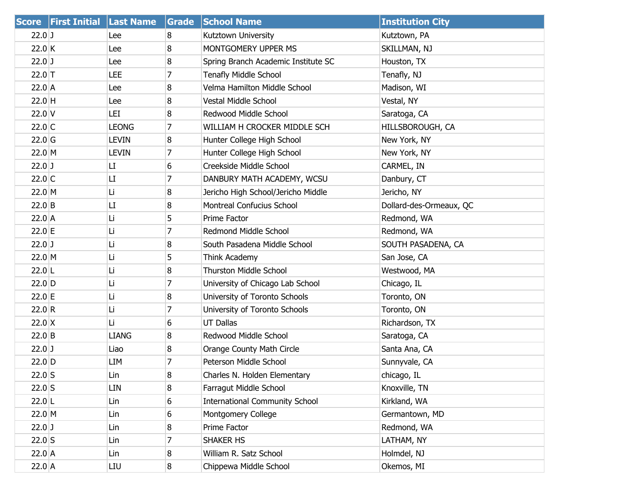|                  | Score   First Initial   Last Name |              | Grade | <b>School Name</b>                    | <b>Institution City</b> |
|------------------|-----------------------------------|--------------|-------|---------------------------------------|-------------------------|
| $22.0$ J         |                                   | Lee          | 8     | Kutztown University                   | Kutztown, PA            |
| 22.0 K           |                                   | Lee          | 8     | MONTGOMERY UPPER MS                   | SKILLMAN, NJ            |
| $22.0$ J         |                                   | Lee          | 8     | Spring Branch Academic Institute SC   | Houston, TX             |
| $22.0$ T         |                                   | LEE          | 7     | <b>Tenafly Middle School</b>          | Tenafly, NJ             |
| $22.0$ A         |                                   | Lee          | 8     | Velma Hamilton Middle School          | Madison, WI             |
| $22.0$ H         |                                   | Lee          | 8     | Vestal Middle School                  | Vestal, NY              |
| $22.0$ V         |                                   | LEI          | 8     | Redwood Middle School                 | Saratoga, CA            |
| $22.0$ C         |                                   | <b>LEONG</b> | 7     | WILLIAM H CROCKER MIDDLE SCH          | HILLSBOROUGH, CA        |
| $22.0$ G         |                                   | <b>LEVIN</b> | 8     | Hunter College High School            | New York, NY            |
| 22.0 M           |                                   | <b>LEVIN</b> | 7     | Hunter College High School            | New York, NY            |
| $22.0$ J         |                                   | LI           | 6     | Creekside Middle School               | CARMEL, IN              |
| $22.0$ C         |                                   | LI           | 7     | DANBURY MATH ACADEMY, WCSU            | Danbury, CT             |
| 22.0 M           |                                   | Li           | 8     | Jericho High School/Jericho Middle    | Jericho, NY             |
| $22.0$ B         |                                   | LI           | 8     | Montreal Confucius School             | Dollard-des-Ormeaux, QC |
| 22.0 A           |                                   | Li           | 5     | Prime Factor                          | Redmond, WA             |
| 22.0 E           |                                   | Li           | 7     | Redmond Middle School                 | Redmond, WA             |
| $22.0$ J         |                                   | Li           | 8     | South Pasadena Middle School          | SOUTH PASADENA, CA      |
| 22.0 M           |                                   | Li           | 5     | Think Academy                         | San Jose, CA            |
| $22.0$  L        |                                   | Li           | 8     | <b>Thurston Middle School</b>         | Westwood, MA            |
| $22.0$ D         |                                   | Li           | 7     | University of Chicago Lab School      | Chicago, IL             |
| 22.0 E           |                                   | Li           | 8     | University of Toronto Schools         | Toronto, ON             |
| 22.0 R           |                                   | Li           | 7     | University of Toronto Schools         | Toronto, ON             |
| $22.0 \text{ X}$ |                                   | Li           | 6     | <b>UT Dallas</b>                      | Richardson, TX          |
| $22.0$ B         |                                   | <b>LIANG</b> | 8     | Redwood Middle School                 | Saratoga, CA            |
| $22.0$ J         |                                   | Liao         | 8     | Orange County Math Circle             | Santa Ana, CA           |
| $22.0$ D         |                                   | LIM          | 7     | Peterson Middle School                | Sunnyvale, CA           |
| $22.0$ S         |                                   | Lin          | 8     | Charles N. Holden Elementary          | chicago, IL             |
| $22.0$ S         |                                   | LIN          | 8     | Farragut Middle School                | Knoxville, TN           |
| $22.0$ L         |                                   | Lin          | 6     | <b>International Community School</b> | Kirkland, WA            |
| 22.0 M           |                                   | Lin          | 6     | Montgomery College                    | Germantown, MD          |
| $22.0$ J         |                                   | Lin          | 8     | Prime Factor                          | Redmond, WA             |
| $22.0$ S         |                                   | Lin          | 7     | SHAKER HS                             | LATHAM, NY              |
| $22.0$ A         |                                   | Lin          | 8     | William R. Satz School                | Holmdel, NJ             |
| $22.0$ A         |                                   | LIU          | 8     | Chippewa Middle School                | Okemos, MI              |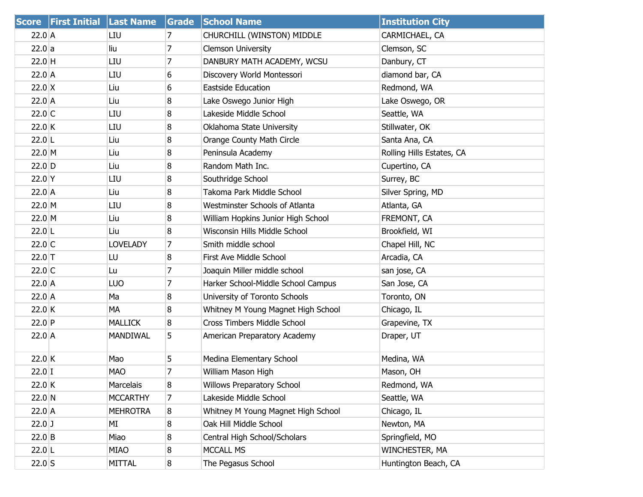| <b>Score</b>  | <b>First Initial</b> | <b>Last Name</b> | <b>Grade</b>   | <b>School Name</b>                 | <b>Institution City</b>   |
|---------------|----------------------|------------------|----------------|------------------------------------|---------------------------|
| $22.0$ A      |                      | LIU              | 7              | CHURCHILL (WINSTON) MIDDLE         | CARMICHAEL, CA            |
| 22.0 a        |                      | liu              | $\overline{7}$ | <b>Clemson University</b>          | Clemson, SC               |
| $22.0$ H      |                      | LIU              | 7              | DANBURY MATH ACADEMY, WCSU         | Danbury, CT               |
| $22.0$ A      |                      | LIU              | 6              | Discovery World Montessori         | diamond bar, CA           |
| $22.0 \times$ |                      | Liu              | 6              | <b>Eastside Education</b>          | Redmond, WA               |
| $22.0$ A      |                      | Liu              | 8              | Lake Oswego Junior High            | Lake Oswego, OR           |
| $22.0$ C      |                      | LIU              | 8              | Lakeside Middle School             | Seattle, WA               |
| 22.0 K        |                      | LIU              | 8              | Oklahoma State University          | Stillwater, OK            |
| $22.0$ L      |                      | Liu              | 8              | Orange County Math Circle          | Santa Ana, CA             |
| 22.0 M        |                      | Liu              | 8              | Peninsula Academy                  | Rolling Hills Estates, CA |
| $22.0$ D      |                      | Liu              | 8              | Random Math Inc.                   | Cupertino, CA             |
| $22.0$ Y      |                      | LIU              | 8              | Southridge School                  | Surrey, BC                |
| $22.0$ A      |                      | Liu              | 8              | Takoma Park Middle School          | Silver Spring, MD         |
| 22.0 M        |                      | LIU              | 8              | Westminster Schools of Atlanta     | Atlanta, GA               |
| 22.0 M        |                      | Liu              | 8              | William Hopkins Junior High School | FREMONT, CA               |
| $22.0$ L      |                      | Liu              | 8              | Wisconsin Hills Middle School      | Brookfield, WI            |
| $22.0$ C      |                      | <b>LOVELADY</b>  | 7              | Smith middle school                | Chapel Hill, NC           |
| $22.0$ T      |                      | LU               | 8              | First Ave Middle School            | Arcadia, CA               |
| $22.0$ C      |                      | Lu               | 7              | Joaquin Miller middle school       | san jose, CA              |
| $22.0$ A      |                      | LUO              | 7              | Harker School-Middle School Campus | San Jose, CA              |
| $22.0$ A      |                      | Ma               | 8              | University of Toronto Schools      | Toronto, ON               |
| $22.0$ K      |                      | МA               | 8              | Whitney M Young Magnet High School | Chicago, IL               |
| $22.0$ P      |                      | <b>MALLICK</b>   | 8              | Cross Timbers Middle School        | Grapevine, TX             |
| $22.0$ A      |                      | <b>MANDIWAL</b>  | 5              | American Preparatory Academy       | Draper, UT                |
| $22.0$ K      |                      | Mao              | 5              | Medina Elementary School           | Medina, WA                |
| $22.0$ I      |                      | <b>MAO</b>       | 7              | William Mason High                 | Mason, OH                 |
| 22.0 K        |                      | Marcelais        | 8              | Willows Preparatory School         | Redmond, WA               |
| $22.0 \, N$   |                      | <b>MCCARTHY</b>  | 7              | Lakeside Middle School             | Seattle, WA               |
| $22.0$ A      |                      | <b>MEHROTRA</b>  | 8              | Whitney M Young Magnet High School | Chicago, IL               |
| $22.0$ J      |                      | МI               | 8              | Oak Hill Middle School             | Newton, MA                |
| $22.0$ B      |                      | Miao             | 8              | Central High School/Scholars       | Springfield, MO           |
| $22.0$ L      |                      | MIAO             | 8              | <b>MCCALL MS</b>                   | WINCHESTER, MA            |
| $22.0$ S      |                      | MITTAL           | 8              | The Pegasus School                 | Huntington Beach, CA      |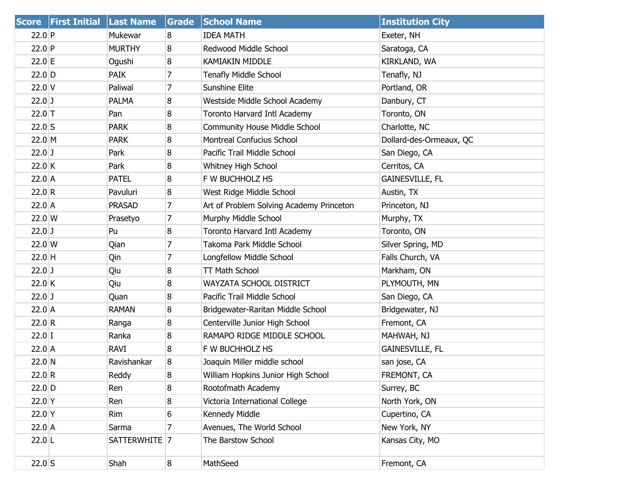|                  | <b>Score First Initial Last Name</b> |               | Grade          | <b>School Name</b>                       | <b>Institution City</b> |
|------------------|--------------------------------------|---------------|----------------|------------------------------------------|-------------------------|
| $22.0$ P         |                                      | Mukewar       | 8              | <b>IDEA MATH</b>                         | Exeter, NH              |
| $22.0$ P         |                                      | <b>MURTHY</b> | 8              | Redwood Middle School                    | Saratoga, CA            |
| $22.0$ E         |                                      | Ogushi        | 8              | <b>KAMIAKIN MIDDLE</b>                   | KIRKLAND, WA            |
| $22.0$ D         |                                      | <b>PAIK</b>   | 7              | <b>Tenafly Middle School</b>             | Tenafly, NJ             |
| $22.0$ V         |                                      | Paliwal       | $\overline{7}$ | Sunshine Elite                           | Portland, OR            |
| $22.0$ J         |                                      | <b>PALMA</b>  | 8              | Westside Middle School Academy           | Danbury, CT             |
| $22.0$ T         |                                      | Pan           | 8              | Toronto Harvard Intl Academy             | Toronto, ON             |
| $22.0$ S         |                                      | <b>PARK</b>   | 8              | <b>Community House Middle School</b>     | Charlotte, NC           |
| 22.0 M           |                                      | <b>PARK</b>   | 8              | Montreal Confucius School                | Dollard-des-Ormeaux, QC |
| $22.0$ J         |                                      | Park          | 8              | Pacific Trail Middle School              | San Diego, CA           |
| $22.0$ K         |                                      | Park          | 8              | Whitney High School                      | Cerritos, CA            |
| $22.0$ A         |                                      | <b>PATEL</b>  | 8              | F W BUCHHOLZ HS                          | <b>GAINESVILLE, FL</b>  |
| 22.0 R           |                                      | Pavuluri      | 8              | West Ridge Middle School                 | Austin, TX              |
| $22.0$ A         |                                      | <b>PRASAD</b> | $\overline{7}$ | Art of Problem Solving Academy Princeton | Princeton, NJ           |
| $22.0 \text{ W}$ |                                      | Prasetyo      | 7              | Murphy Middle School                     | Murphy, TX              |
| $22.0$ J         |                                      | Pu            | 8              | Toronto Harvard Intl Academy             | Toronto, ON             |
| 22.0 W           |                                      | Qian          | 7              | Takoma Park Middle School                | Silver Spring, MD       |
| $22.0$ H         |                                      | Qin           | 7              | Longfellow Middle School                 | Falls Church, VA        |
| $22.0$ J         |                                      | Qiu           | 8              | <b>TT Math School</b>                    | Markham, ON             |
| 22.0 K           |                                      | Qiu           | 8              | WAYZATA SCHOOL DISTRICT                  | PLYMOUTH, MN            |
| $22.0$ J         |                                      | Quan          | 8              | Pacific Trail Middle School              | San Diego, CA           |
| $22.0$ A         |                                      | RAMAN         | 8              | Bridgewater-Raritan Middle School        | Bridgewater, NJ         |
| 22.0 R           |                                      | Ranga         | 8              | Centerville Junior High School           | Fremont, CA             |
| $22.0$ I         |                                      | Ranka         | 8              | RAMAPO RIDGE MIDDLE SCHOOL               | MAHWAH, NJ              |
| $22.0$ A         |                                      | RAVI          | 8              | F W BUCHHOLZ HS                          | <b>GAINESVILLE, FL</b>  |
| 22.0 N           |                                      | Ravishankar   | 8              | Joaquin Miller middle school             | san jose, CA            |
| 22.0 R           |                                      | Reddy         | 8              | William Hopkins Junior High School       | FREMONT, CA             |
| $22.0$ D         |                                      | Ren           | 8              | Rootofmath Academy                       | Surrey, BC              |
| $22.0$ Y         |                                      | Ren           | 8              | Victoria International College           | North York, ON          |
| $22.0$ Y         |                                      | Rim           | 6              | Kennedy Middle                           | Cupertino, CA           |
| $22.0$ A         |                                      | Sarma         | 7              | Avenues, The World School                | New York, NY            |
| $22.0$ L         |                                      | SATTERWHITE 7 |                | The Barstow School                       | Kansas City, MO         |
| $22.0$ S         |                                      | Shah          | 8              | MathSeed                                 | Fremont, CA             |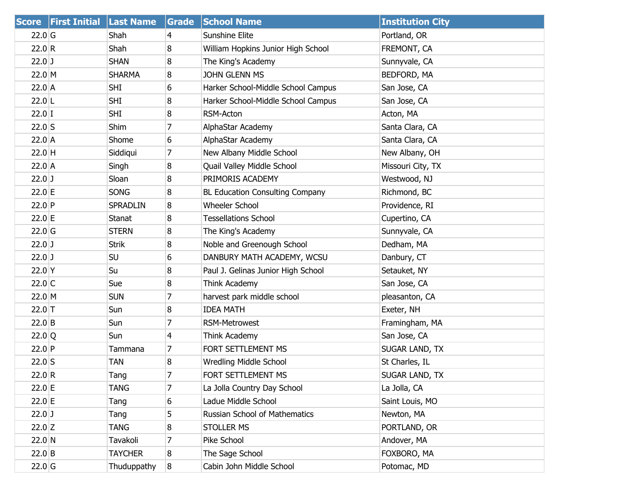|          | Score   First Initial   Last Name |                 | Grade | <b>School Name</b>                     | <b>Institution City</b> |
|----------|-----------------------------------|-----------------|-------|----------------------------------------|-------------------------|
| $22.0$ G |                                   | Shah            | 4     | Sunshine Elite                         | Portland, OR            |
| 22.0 R   |                                   | Shah            | 8     | William Hopkins Junior High School     | FREMONT, CA             |
| $22.0$ J |                                   | <b>SHAN</b>     | 8     | The King's Academy                     | Sunnyvale, CA           |
| 22.0 M   |                                   | <b>SHARMA</b>   | 8     | <b>JOHN GLENN MS</b>                   | BEDFORD, MA             |
| 22.0 A   |                                   | SHI             | 6     | Harker School-Middle School Campus     | San Jose, CA            |
| $22.0$ L |                                   | <b>SHI</b>      | 8     | Harker School-Middle School Campus     | San Jose, CA            |
| $22.0$ I |                                   | SHI             | 8     | RSM-Acton                              | Acton, MA               |
| $22.0$ S |                                   | Shim            | 7     | AlphaStar Academy                      | Santa Clara, CA         |
| $22.0$ A |                                   | Shome           | 6     | AlphaStar Academy                      | Santa Clara, CA         |
| $22.0$ H |                                   | Siddiqui        | 7     | New Albany Middle School               | New Albany, OH          |
| $22.0$ A |                                   | Singh           | 8     | Quail Valley Middle School             | Missouri City, TX       |
| $22.0$ J |                                   | Sloan           | 8     | PRIMORIS ACADEMY                       | Westwood, NJ            |
| $22.0$ E |                                   | <b>SONG</b>     | 8     | <b>BL Education Consulting Company</b> | Richmond, BC            |
| $22.0$ P |                                   | <b>SPRADLIN</b> | 8     | <b>Wheeler School</b>                  | Providence, RI          |
| 22.0 E   |                                   | Stanat          | 8     | <b>Tessellations School</b>            | Cupertino, CA           |
| $22.0$ G |                                   | <b>STERN</b>    | 8     | The King's Academy                     | Sunnyvale, CA           |
| $22.0$ J |                                   | <b>Strik</b>    | 8     | Noble and Greenough School             | Dedham, MA              |
| $22.0$ J |                                   | SU              | 6     | DANBURY MATH ACADEMY, WCSU             | Danbury, CT             |
| $22.0$ Y |                                   | Su              | 8     | Paul J. Gelinas Junior High School     | Setauket, NY            |
| 22.0 C   |                                   | Sue             | 8     | Think Academy                          | San Jose, CA            |
| 22.0 M   |                                   | <b>SUN</b>      | 7     | harvest park middle school             | pleasanton, CA          |
| $22.0$ T |                                   | Sun             | 8     | <b>IDEA MATH</b>                       | Exeter, NH              |
| $22.0$ B |                                   | Sun             | 7     | <b>RSM-Metrowest</b>                   | Framingham, MA          |
| 22.0 Q   |                                   | Sun             | 4     | Think Academy                          | San Jose, CA            |
| $22.0$ P |                                   | Tammana         | 7     | FORT SETTLEMENT MS                     | SUGAR LAND, TX          |
| $22.0$ S |                                   | TAN             | 8     | <b>Wredling Middle School</b>          | St Charles, IL          |
| 22.0 R   |                                   | Tang            | 7     | FORT SETTLEMENT MS                     | SUGAR LAND, TX          |
| 22.0 E   |                                   | <b>TANG</b>     | 7     | La Jolla Country Day School            | La Jolla, CA            |
| 22.0 E   |                                   | Tang            | 6     | Ladue Middle School                    | Saint Louis, MO         |
| $22.0$ J |                                   | Tang            | 5     | Russian School of Mathematics          | Newton, MA              |
| $22.0$ Z |                                   | <b>TANG</b>     | 8     | <b>STOLLER MS</b>                      | PORTLAND, OR            |
| 22.0 N   |                                   | Tavakoli        | 7     | Pike School                            | Andover, MA             |
| $22.0$ B |                                   | <b>TAYCHER</b>  | 8     | The Sage School                        | FOXBORO, MA             |
| $22.0$ G |                                   | Thuduppathy     | 8     | Cabin John Middle School               | Potomac, MD             |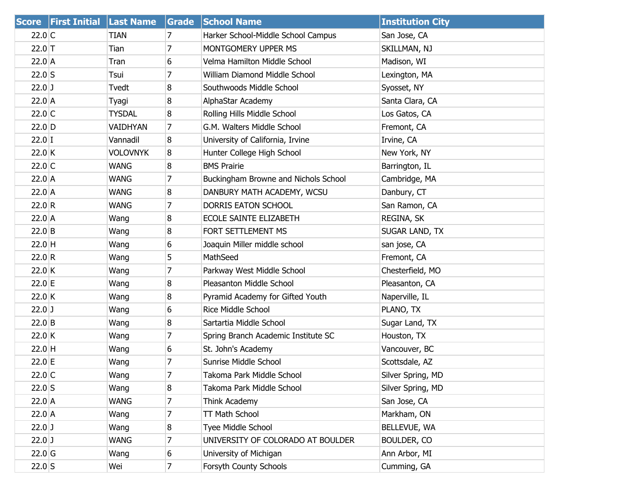|                    | <b>Score First Initial Last Name</b> |                 | Grade          | <b>School Name</b>                   | <b>Institution City</b> |
|--------------------|--------------------------------------|-----------------|----------------|--------------------------------------|-------------------------|
| $22.0$ C           |                                      | TIAN            | 7              | Harker School-Middle School Campus   | San Jose, CA            |
| $22.0$ T           |                                      | Tian            | 7              | MONTGOMERY UPPER MS                  | SKILLMAN, NJ            |
| $22.0$ A           |                                      | Tran            | 6              | Velma Hamilton Middle School         | Madison, WI             |
| $22.0$ S           |                                      | Tsui            | 7              | William Diamond Middle School        | Lexington, MA           |
| $22.0$ J           |                                      | Tvedt           | 8              | Southwoods Middle School             | Syosset, NY             |
| $22.0$ A           |                                      | Tyagi           | 8              | AlphaStar Academy                    | Santa Clara, CA         |
| $22.0$ C           |                                      | <b>TYSDAL</b>   | 8              | Rolling Hills Middle School          | Los Gatos, CA           |
| $22.0$ D           |                                      | VAIDHYAN        | 7              | G.M. Walters Middle School           | Fremont, CA             |
| $22.0$ I           |                                      | Vannadil        | 8              | University of California, Irvine     | Irvine, CA              |
| $22.0$ K           |                                      | <b>VOLOVNYK</b> | 8              | Hunter College High School           | New York, NY            |
| $22.0$ C           |                                      | <b>WANG</b>     | 8              | <b>BMS Prairie</b>                   | Barrington, IL          |
| $22.0$ A           |                                      | <b>WANG</b>     | 7              | Buckingham Browne and Nichols School | Cambridge, MA           |
| $22.0$ A           |                                      | <b>WANG</b>     | 8              | DANBURY MATH ACADEMY, WCSU           | Danbury, CT             |
| 22.0 R             |                                      | <b>WANG</b>     | 7              | DORRIS EATON SCHOOL                  | San Ramon, CA           |
| $22.0$ A           |                                      | Wang            | 8              | ECOLE SAINTE ELIZABETH               | REGINA, SK              |
| $22.0$ B           |                                      | Wang            | 8              | FORT SETTLEMENT MS                   | SUGAR LAND, TX          |
| $22.0$ H           |                                      | Wang            | 6              | Joaquin Miller middle school         | san jose, CA            |
| 22.0 R             |                                      | Wang            | 5              | MathSeed                             | Fremont, CA             |
| $22.0$ K           |                                      | Wang            | 7              | Parkway West Middle School           | Chesterfield, MO        |
| $22.0 \, \text{E}$ |                                      | Wang            | 8              | Pleasanton Middle School             | Pleasanton, CA          |
| 22.0 K             |                                      | Wang            | 8              | Pyramid Academy for Gifted Youth     | Naperville, IL          |
| $22.0$ J           |                                      | Wang            | 6              | Rice Middle School                   | PLANO, TX               |
| $22.0$ B           |                                      | Wang            | 8              | Sartartia Middle School              | Sugar Land, TX          |
| $22.0$ K           |                                      | Wang            | 7              | Spring Branch Academic Institute SC  | Houston, TX             |
| $22.0$ H           |                                      | Wang            | 6              | St. John's Academy                   | Vancouver, BC           |
| 22.0 E             |                                      | Wang            | 7              | Sunrise Middle School                | Scottsdale, AZ          |
| $22.0$ C           |                                      | Wang            | 7              | Takoma Park Middle School            | Silver Spring, MD       |
| $22.0$ S           |                                      | Wang            | 8              | Takoma Park Middle School            | Silver Spring, MD       |
| $22.0$ A           |                                      | <b>WANG</b>     | 7              | Think Academy                        | San Jose, CA            |
| 22.0 A             |                                      | Wang            | 7              | TT Math School                       | Markham, ON             |
| $22.0$ J           |                                      | Wang            | 8              | Tyee Middle School                   | BELLEVUE, WA            |
| $22.0$ J           |                                      | <b>WANG</b>     | 7              | UNIVERSITY OF COLORADO AT BOULDER    | BOULDER, CO             |
| $22.0$ G           |                                      | Wang            | 6              | University of Michigan               | Ann Arbor, MI           |
| $22.0$ S           |                                      | Wei             | $\overline{7}$ | Forsyth County Schools               | Cumming, GA             |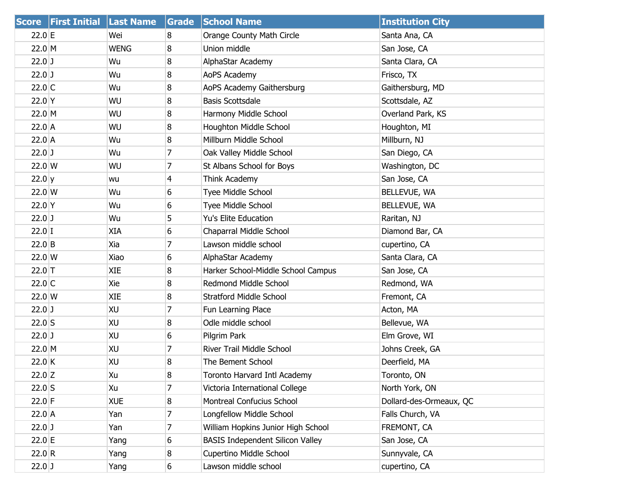|                  | <b>Score First Initial Last Name</b> |             | Grade | <b>School Name</b>                      | <b>Institution City</b> |
|------------------|--------------------------------------|-------------|-------|-----------------------------------------|-------------------------|
| 22.0 E           |                                      | Wei         | 8     | Orange County Math Circle               | Santa Ana, CA           |
| 22.0 M           |                                      | <b>WENG</b> | 8     | Union middle                            | San Jose, CA            |
| $22.0$ J         |                                      | Wu          | 8     | AlphaStar Academy                       | Santa Clara, CA         |
| $22.0$ J         |                                      | Wu          | 8     | AoPS Academy                            | Frisco, TX              |
| $22.0$ C         |                                      | Wu          | 8     | AoPS Academy Gaithersburg               | Gaithersburg, MD        |
| $22.0$ Y         |                                      | WU          | 8     | <b>Basis Scottsdale</b>                 | Scottsdale, AZ          |
| 22.0 M           |                                      | WU          | 8     | Harmony Middle School                   | Overland Park, KS       |
| $22.0$ A         |                                      | WU          | 8     | Houghton Middle School                  | Houghton, MI            |
| $22.0$ A         |                                      | Wu          | 8     | Millburn Middle School                  | Millburn, NJ            |
| $22.0$ J         |                                      | Wu          | 7     | Oak Valley Middle School                | San Diego, CA           |
| $22.0 \text{ W}$ |                                      | WU          | 7     | St Albans School for Boys               | Washington, DC          |
| $22.0 \text{ y}$ |                                      | wu          | 4     | Think Academy                           | San Jose, CA            |
| $22.0$ W         |                                      | Wu          | 6     | Tyee Middle School                      | BELLEVUE, WA            |
| $22.0$ Y         |                                      | Wu          | 6     | Tyee Middle School                      | BELLEVUE, WA            |
| $22.0$ J         |                                      | Wu          | 5     | Yu's Elite Education                    | Raritan, NJ             |
| $22.0$ I         |                                      | XIA         | 6     | Chaparral Middle School                 | Diamond Bar, CA         |
| $22.0$ B         |                                      | Xia         | 7     | Lawson middle school                    | cupertino, CA           |
| $22.0 \text{ W}$ |                                      | Xiao        | 6     | AlphaStar Academy                       | Santa Clara, CA         |
| $22.0$ T         |                                      | XIE         | 8     | Harker School-Middle School Campus      | San Jose, CA            |
| $22.0$ C         |                                      | Xie         | 8     | Redmond Middle School                   | Redmond, WA             |
| $22.0$ W         |                                      | <b>XIE</b>  | 8     | <b>Stratford Middle School</b>          | Fremont, CA             |
| $22.0$ J         |                                      | XU          | 7     | Fun Learning Place                      | Acton, MA               |
| $22.0$ S         |                                      | XU          | 8     | Odle middle school                      | Bellevue, WA            |
| $22.0$ J         |                                      | XU          | 6     | Pilgrim Park                            | Elm Grove, WI           |
| 22.0 M           |                                      | XU          | 7     | River Trail Middle School               | Johns Creek, GA         |
| $22.0$ K         |                                      | XU          | 8     | The Bement School                       | Deerfield, MA           |
| $22.0$ Z         |                                      | Xu          | 8     | Toronto Harvard Intl Academy            | Toronto, ON             |
| $22.0$ S         |                                      | Xu          | 7     | Victoria International College          | North York, ON          |
| $22.0$ F         |                                      | <b>XUE</b>  | 8     | Montreal Confucius School               | Dollard-des-Ormeaux, QC |
| 22.0 A           |                                      | Yan         | 7     | Longfellow Middle School                | Falls Church, VA        |
| $22.0$ J         |                                      | Yan         | 7     | William Hopkins Junior High School      | FREMONT, CA             |
| 22.0 E           |                                      | Yang        | 6     | <b>BASIS Independent Silicon Valley</b> | San Jose, CA            |
| 22.0 R           |                                      | Yang        | 8     | <b>Cupertino Middle School</b>          | Sunnyvale, CA           |
| $22.0$ J         |                                      | Yang        | 6     | Lawson middle school                    | cupertino, CA           |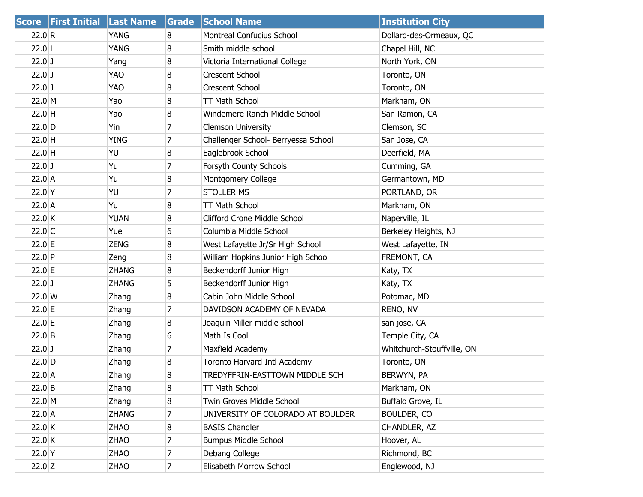| <b>Score</b>     | <b>First Initial Last Name</b> |              | Grade          | <b>School Name</b>                  | <b>Institution City</b>    |
|------------------|--------------------------------|--------------|----------------|-------------------------------------|----------------------------|
| 22.0 R           |                                | <b>YANG</b>  | 8              | Montreal Confucius School           | Dollard-des-Ormeaux, QC    |
| $22.0$ L         |                                | YANG         | 8              | Smith middle school                 | Chapel Hill, NC            |
| $22.0$ J         |                                | Yang         | 8              | Victoria International College      | North York, ON             |
| $22.0$ J         |                                | <b>YAO</b>   | 8              | <b>Crescent School</b>              | Toronto, ON                |
| $22.0$ J         |                                | <b>YAO</b>   | 8              | Crescent School                     | Toronto, ON                |
| $22.0 \, M$      |                                | Yao          | 8              | TT Math School                      | Markham, ON                |
| $22.0$ H         |                                | Yao          | 8              | Windemere Ranch Middle School       | San Ramon, CA              |
| $22.0$ D         |                                | Yin          | 7              | <b>Clemson University</b>           | Clemson, SC                |
| $22.0$ H         |                                | <b>YING</b>  | $\overline{7}$ | Challenger School- Berryessa School | San Jose, CA               |
| $22.0$ H         |                                | YU           | 8              | Eaglebrook School                   | Deerfield, MA              |
| $22.0$ J         |                                | Yu           | 7              | Forsyth County Schools              | Cumming, GA                |
| $22.0$ A         |                                | Yu           | 8              | Montgomery College                  | Germantown, MD             |
| $22.0$ Y         |                                | YU           | 7              | <b>STOLLER MS</b>                   | PORTLAND, OR               |
| $22.0$ A         |                                | Yu           | 8              | TT Math School                      | Markham, ON                |
| 22.0K            |                                | <b>YUAN</b>  | 8              | <b>Clifford Crone Middle School</b> | Naperville, IL             |
| $22.0$ C         |                                | Yue          | 6              | Columbia Middle School              | Berkeley Heights, NJ       |
| 22.0 E           |                                | <b>ZENG</b>  | 8              | West Lafayette Jr/Sr High School    | West Lafayette, IN         |
| $22.0$ P         |                                | Zeng         | 8              | William Hopkins Junior High School  | FREMONT, CA                |
| 22.0 E           |                                | <b>ZHANG</b> | 8              | Beckendorff Junior High             | Katy, TX                   |
| $22.0$ J         |                                | <b>ZHANG</b> | 5              | Beckendorff Junior High             | Katy, TX                   |
| $22.0 \text{ W}$ |                                | Zhang        | 8              | Cabin John Middle School            | Potomac, MD                |
| 22.0 E           |                                | Zhang        | $\overline{7}$ | DAVIDSON ACADEMY OF NEVADA          | RENO, NV                   |
| 22.0 E           |                                | Zhang        | 8              | Joaquin Miller middle school        | san jose, CA               |
| $22.0$ B         |                                | Zhang        | 6              | Math Is Cool                        | Temple City, CA            |
| $22.0$ J         |                                | Zhang        | $\overline{7}$ | Maxfield Academy                    | Whitchurch-Stouffville, ON |
| $22.0$ D         |                                | Zhang        | 8              | Toronto Harvard Intl Academy        | Toronto, ON                |
| $22.0$ A         |                                | Zhang        | 8              | TREDYFFRIN-EASTTOWN MIDDLE SCH      | BERWYN, PA                 |
| $22.0$ B         |                                | Zhang        | 8              | TT Math School                      | Markham, ON                |
| $22.0 \, M$      |                                | Zhang        | 8              | Twin Groves Middle School           | Buffalo Grove, IL          |
| 22.0 A           |                                | <b>ZHANG</b> | 7              | UNIVERSITY OF COLORADO AT BOULDER   | BOULDER, CO                |
| 22.0 K           |                                | <b>ZHAO</b>  | 8              | <b>BASIS Chandler</b>               | CHANDLER, AZ               |
| 22.0 K           |                                | <b>ZHAO</b>  | 7              | <b>Bumpus Middle School</b>         | Hoover, AL                 |
| 22.0 Y           |                                | <b>ZHAO</b>  | 7              | Debang College                      | Richmond, BC               |
| $22.0$ Z         |                                | <b>ZHAO</b>  | $\overline{7}$ | Elisabeth Morrow School             | Englewood, NJ              |